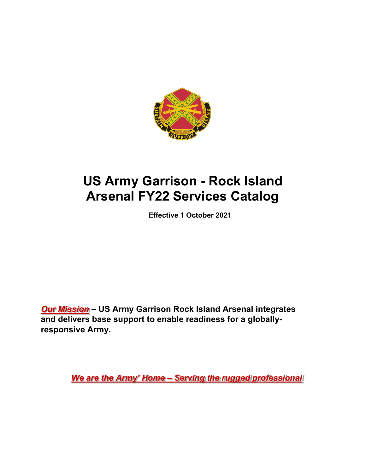

# **US Army Garrison - Rock Island Arsenal FY22 Services Catalog**

**Effective 1 October 2021**

*Our Mission* **– US Army Garrison Rock Island Arsenal integrates and delivers base support to enable readiness for a globallyresponsive Army.**

*We are the Army' Home – Serving the rugged professional*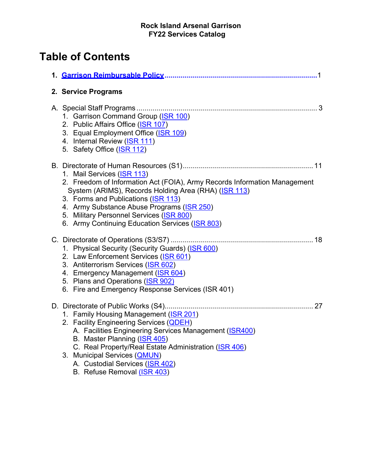# **Table of Contents**

| 2. Service Programs                                                                                                                                                                                                                                                                                                                                 |
|-----------------------------------------------------------------------------------------------------------------------------------------------------------------------------------------------------------------------------------------------------------------------------------------------------------------------------------------------------|
| 1. Garrison Command Group (ISR 100)<br>2. Public Affairs Office (ISR 107)<br>3. Equal Employment Office (ISR 109)<br>4. Internal Review (ISR 111)<br>5. Safety Office (ISR 112)                                                                                                                                                                     |
| 1. Mail Services (ISR 113)<br>2. Freedom of Information Act (FOIA), Army Records Information Management<br>System (ARIMS), Records Holding Area (RHA) (ISR 113)<br>3. Forms and Publications (ISR 113)<br>4. Army Substance Abuse Programs (ISR 250)<br>5. Military Personnel Services (ISR 800)<br>6. Army Continuing Education Services (ISR 803) |
| 1. Physical Security (Security Guards) (ISR 600)<br>2. Law Enforcement Services (ISR 601)<br>3. Antiterrorism Services (ISR 602)<br>4. Emergency Management (ISR 604)<br>5. Plans and Operations (ISR 902)<br>6. Fire and Emergency Response Services (ISR 401)                                                                                     |
| 1. Family Housing Management (ISR 201)<br>2. Facility Engineering Services (QDEH)<br>A. Facilities Engineering Services Management (ISR400)<br>B. Master Planning (ISR 405)<br>C. Real Property/Real Estate Administration (ISR 406)<br>3. Municipal Services ( <b>QMUN</b> )                                                                       |
| A. Custodial Services (ISR 402)<br>B. Refuse Removal (ISR 403)                                                                                                                                                                                                                                                                                      |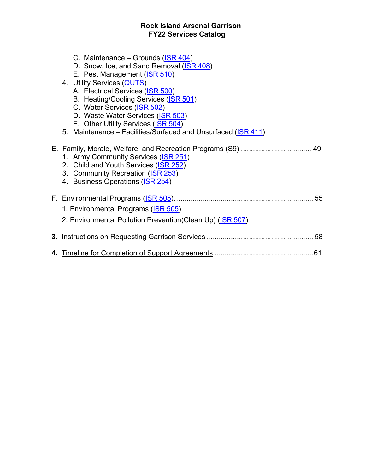- C. Maintenance Grounds (ISR 404)
- D. Snow, Ice, and Sand Removal (ISR 408)
- E. Pest Management (ISR 510)
- 4. Utility Services (QUTS)
	- A. Electrical Services (ISR 500)
	- B. Heating/Cooling Services (ISR 501)
	- C. Water Services (ISR 502)
	- D. Waste Water Services (ISR 503)
	- E. Other Utility Services (ISR 504)
- 5. Maintenance Facilities/Surfaced and Unsurfaced (ISR 411)
- E. Family, Morale, Welfare, and Recreation Programs (S9) ................................... 49
	- 1. Army Community Services (ISR 251)
	- 2. Child and Youth Services (ISR 252)
	- 3. Community Recreation (ISR 253)
	- 4. Business Operations (ISR 254)

| 1. Environmental Programs (ISR 505)                        |  |
|------------------------------------------------------------|--|
| 2. Environmental Pollution Prevention (Clean Up) (ISR 507) |  |
|                                                            |  |
|                                                            |  |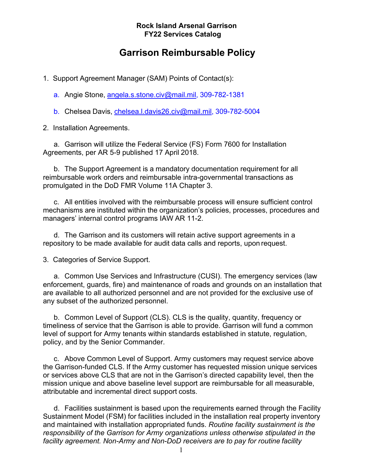## **Garrison Reimbursable Policy**

1. Support Agreement Manager (SAM) Points of Contact(s):

a. Angie Stone, [angela.s.stone.civ@mail.mil,](mailto:angela.s.stone.civ@mail.mil) 309-782-1381

b. Chelsea Davis, chelsea.I.davis26.civ@mail.mil, 309-782-5004

2. Installation Agreements.

a. Garrison will utilize the Federal Service (FS) Form 7600 for Installation Agreements, per AR 5-9 published 17 April 2018.

b. The Support Agreement is a mandatory documentation requirement for all reimbursable work orders and reimbursable intra-governmental transactions as promulgated in the DoD FMR Volume 11A Chapter 3.

c. All entities involved with the reimbursable process will ensure sufficient control mechanisms are instituted within the organization's policies, processes, procedures and managers' internal control programs IAW AR 11-2.

d. The Garrison and its customers will retain active support agreements in a repository to be made available for audit data calls and reports, upon request.

3. Categories of Service Support.

a. Common Use Services and Infrastructure (CUSI). The emergency services (law enforcement, guards, fire) and maintenance of roads and grounds on an installation that are available to all authorized personnel and are not provided for the exclusive use of any subset of the authorized personnel.

b. Common Level of Support (CLS). CLS is the quality, quantity, frequency or timeliness of service that the Garrison is able to provide. Garrison will fund a common level of support for Army tenants within standards established in statute, regulation, policy, and by the Senior Commander.

c. Above Common Level of Support. Army customers may request service above the Garrison-funded CLS. If the Army customer has requested mission unique services or services above CLS that are not in the Garrison's directed capability level, then the mission unique and above baseline level support are reimbursable for all measurable, attributable and incremental direct support costs.

d. Facilities sustainment is based upon the requirements earned through the Facility Sustainment Model (FSM) for facilities included in the installation real property inventory and maintained with installation appropriated funds. *Routine facility sustainment is the responsibility of the Garrison for Army organizations unless otherwise stipulated in the facility agreement. Non-Army and Non-DoD receivers are to pay for routine facility*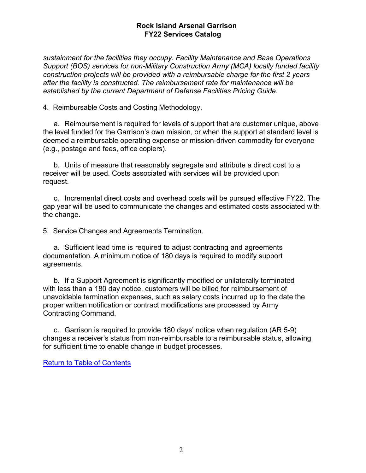*sustainment for the facilities they occupy. Facility Maintenance and Base Operations Support (BOS) services for non-Military Construction Army (MCA) locally funded facility construction projects will be provided with a reimbursable charge for the first 2 years after the facility is constructed. The reimbursement rate for maintenance will be established by the current Department of Defense Facilities Pricing Guide.*

4. Reimbursable Costs and Costing Methodology.

a. Reimbursement is required for levels of support that are customer unique, above the level funded for the Garrison's own mission, or when the support at standard level is deemed a reimbursable operating expense or mission-driven commodity for everyone (e.g., postage and fees, office copiers).

b. Units of measure that reasonably segregate and attribute a direct cost to a receiver will be used. Costs associated with services will be provided upon request.

c. Incremental direct costs and overhead costs will be pursued effective FY22. The gap year will be used to communicate the changes and estimated costs associated with the change.

5. Service Changes and Agreements Termination.

a. Sufficient lead time is required to adjust contracting and agreements documentation. A minimum notice of 180 days is required to modify support agreements.

b. If a Support Agreement is significantly modified or unilaterally terminated with less than a 180 day notice, customers will be billed for reimbursement of unavoidable termination expenses, such as salary costs incurred up to the date the proper written notification or contract modifications are processed by Army Contracting Command.

c. Garrison is required to provide 180 days' notice when regulation (AR 5-9) changes a receiver's status from non-reimbursable to a reimbursable status, allowing for sufficient time to enable change in budget processes.

Return to Table of Contents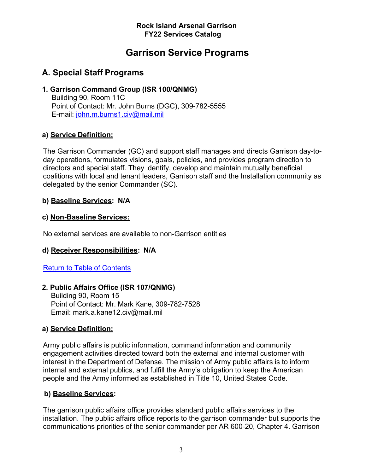# **Garrison Service Programs**

### **A. Special Staff Programs**

### **1. Garrison Command Group (ISR 100/QNMG)**

Building 90, Room 11C Point of Contact: Mr. John Burns (DGC), 309-782-5555 E-mail: [john.m.burns1.civ@mail.mil](mailto:john.m.burns1.civ@mail.mil)

### **a) Service Definition:**

The Garrison Commander (GC) and support staff manages and directs Garrison day-today operations, formulates visions, goals, policies, and provides program direction to directors and special staff. They identify, develop and maintain mutually beneficial coalitions with local and tenant leaders, Garrison staff and the Installation community as delegated by the senior Commander (SC).

### **b) Baseline Services: N/A**

### **c) Non-Baseline Services:**

No external services are available to non-Garrison entities

### **d) Receiver Responsibilities: N/A**

### Return to Table of Contents

### **2. Public Affairs Office (ISR 107/QNMG)**

Building 90, Room 15 Point of Contact: Mr. Mark Kane, 309-782-7528 Email: mark.a.kane12.civ@mail.mil

### **a) Service Definition:**

Army public affairs is public information, command information and community engagement activities directed toward both the external and internal customer with interest in the Department of Defense. The mission of Army public affairs is to inform internal and external publics, and fulfill the Army's obligation to keep the American people and the Army informed as established in Title 10, United States Code.

### **b) Baseline Services:**

The garrison public affairs office provides standard public affairs services to the installation. The public affairs office reports to the garrison commander but supports the communications priorities of the senior commander per AR 600-20, Chapter 4. Garrison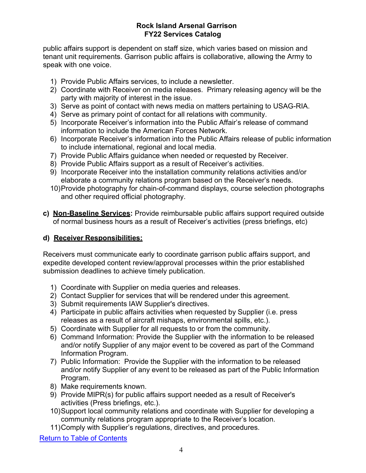public affairs support is dependent on staff size, which varies based on mission and tenant unit requirements. Garrison public affairs is collaborative, allowing the Army to speak with one voice.

- 1) Provide Public Affairs services, to include a newsletter.
- 2) Coordinate with Receiver on media releases. Primary releasing agency will be the party with majority of interest in the issue.
- 3) Serve as point of contact with news media on matters pertaining to USAG-RIA.
- 4) Serve as primary point of contact for all relations with community.
- 5) Incorporate Receiver's information into the Public Affair's release of command information to include the American Forces Network.
- 6) Incorporate Receiver's information into the Public Affairs release of public information to include international, regional and local media.
- 7) Provide Public Affairs guidance when needed or requested by Receiver.
- 8) Provide Public Affairs support as a result of Receiver's activities.
- 9) Incorporate Receiver into the installation community relations activities and/or elaborate a community relations program based on the Receiver's needs.
- 10)Provide photography for chain-of-command displays, course selection photographs and other required official photography.
- **c) Non-Baseline Services:** Provide reimbursable public affairs support required outside of normal business hours as a result of Receiver's activities (press briefings, etc)

### **d) Receiver Responsibilities:**

Receivers must communicate early to coordinate garrison public affairs support, and expedite developed content review/approval processes within the prior established submission deadlines to achieve timely publication.

- 1) Coordinate with Supplier on media queries and releases.
- 2) Contact Supplier for services that will be rendered under this agreement.
- 3) Submit requirements IAW Supplier's directives.
- 4) Participate in public affairs activities when requested by Supplier (i.e. press releases as a result of aircraft mishaps, environmental spills, etc.).
- 5) Coordinate with Supplier for all requests to or from the community.
- 6) Command Information: Provide the Supplier with the information to be released and/or notify Supplier of any major event to be covered as part of the Command Information Program.
- 7) Public Information: Provide the Supplier with the information to be released and/or notify Supplier of any event to be released as part of the Public Information Program.
- 8) Make requirements known.
- 9) Provide MIPR(s) for public affairs support needed as a result of Receiver's activities (Press briefings, etc.).
- 10)Support local community relations and coordinate with Supplier for developing a community relations program appropriate to the Receiver's location.
- 11)Comply with Supplier's regulations, directives, and procedures.

Return to Table of Contents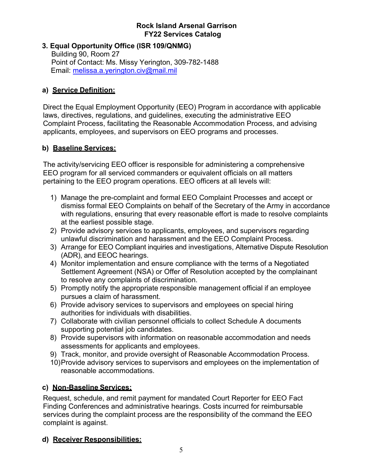### **3. Equal Opportunity Office (ISR 109/QNMG)**

Building 90, Room 27 Point of Contact: Ms. Missy Yerington, 309-782-1488 Email: [melissa.a.yerington.civ@mail.mil](mailto:melissa.a.yerington.civ@mail.mil)

### **a) Service Definition:**

Direct the Equal Employment Opportunity (EEO) Program in accordance with applicable laws, directives, regulations, and guidelines, executing the administrative EEO Complaint Process, facilitating the Reasonable Accommodation Process, and advising applicants, employees, and supervisors on EEO programs and processes.

### **b) Baseline Services:**

The activity/servicing EEO officer is responsible for administering a comprehensive EEO program for all serviced commanders or equivalent officials on all matters pertaining to the EEO program operations. EEO officers at all levels will:

- 1) Manage the pre-complaint and formal EEO Complaint Processes and accept or dismiss formal EEO Complaints on behalf of the Secretary of the Army in accordance with regulations, ensuring that every reasonable effort is made to resolve complaints at the earliest possible stage.
- 2) Provide advisory services to applicants, employees, and supervisors regarding unlawful discrimination and harassment and the EEO Complaint Process.
- 3) Arrange for EEO Compliant inquiries and investigations, Alternative Dispute Resolution (ADR), and EEOC hearings.
- 4) Monitor implementation and ensure compliance with the terms of a Negotiated Settlement Agreement (NSA) or Offer of Resolution accepted by the complainant to resolve any complaints of discrimination.
- 5) Promptly notify the appropriate responsible management official if an employee pursues a claim of harassment.
- 6) Provide advisory services to supervisors and employees on special hiring authorities for individuals with disabilities.
- 7) Collaborate with civilian personnel officials to collect Schedule A documents supporting potential job candidates.
- 8) Provide supervisors with information on reasonable accommodation and needs assessments for applicants and employees.
- 9) Track, monitor, and provide oversight of Reasonable Accommodation Process.
- 10)Provide advisory services to supervisors and employees on the implementation of reasonable accommodations.

### **c) Non-Baseline Services:**

Request, schedule, and remit payment for mandated Court Reporter for EEO Fact Finding Conferences and administrative hearings. Costs incurred for reimbursable services during the complaint process are the responsibility of the command the EEO complaint is against.

### **d) Receiver Responsibilities:**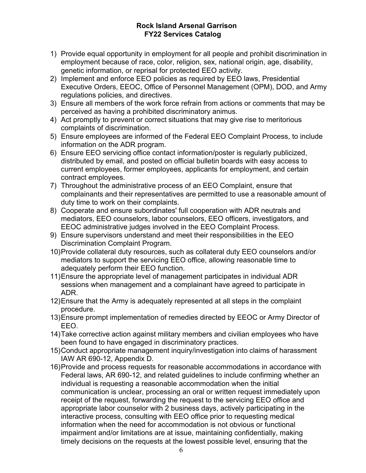- 1) Provide equal opportunity in employment for all people and prohibit discrimination in employment because of race, color, religion, sex, national origin, age, disability, genetic information, or reprisal for protected EEO activity.
- 2) Implement and enforce EEO policies as required by EEO laws, Presidential Executive Orders, EEOC, Office of Personnel Management (OPM), DOD, and Army regulations policies, and directives.
- 3) Ensure all members of the work force refrain from actions or comments that may be perceived as having a prohibited discriminatory animus.
- 4) Act promptly to prevent or correct situations that may give rise to meritorious complaints of discrimination.
- 5) Ensure employees are informed of the Federal EEO Complaint Process, to include information on the ADR program.
- 6) Ensure EEO servicing office contact information/poster is regularly publicized, distributed by email, and posted on official bulletin boards with easy access to current employees, former employees, applicants for employment, and certain contract employees.
- 7) Throughout the administrative process of an EEO Complaint, ensure that complainants and their representatives are permitted to use a reasonable amount of duty time to work on their complaints.
- 8) Cooperate and ensure subordinates' full cooperation with ADR neutrals and mediators, EEO counselors, labor counselors, EEO officers, investigators, and EEOC administrative judges involved in the EEO Complaint Process.
- 9) Ensure supervisors understand and meet their responsibilities in the EEO Discrimination Complaint Program.
- 10)Provide collateral duty resources, such as collateral duty EEO counselors and/or mediators to support the servicing EEO office, allowing reasonable time to adequately perform their EEO function.
- 11)Ensure the appropriate level of management participates in individual ADR sessions when management and a complainant have agreed to participate in ADR.
- 12)Ensure that the Army is adequately represented at all steps in the complaint procedure.
- 13)Ensure prompt implementation of remedies directed by EEOC or Army Director of EEO.
- 14)Take corrective action against military members and civilian employees who have been found to have engaged in discriminatory practices.
- 15)Conduct appropriate management inquiry/investigation into claims of harassment IAW AR 690-12, Appendix D.
- 16)Provide and process requests for reasonable accommodations in accordance with Federal laws, AR 690-12, and related guidelines to include confirming whether an individual is requesting a reasonable accommodation when the initial communication is unclear, processing an oral or written request immediately upon receipt of the request, forwarding the request to the servicing EEO office and appropriate labor counselor with 2 business days, actively participating in the interactive process, consulting with EEO office prior to requesting medical information when the need for accommodation is not obvious or functional impairment and/or limitations are at issue, maintaining confidentially, making timely decisions on the requests at the lowest possible level, ensuring that the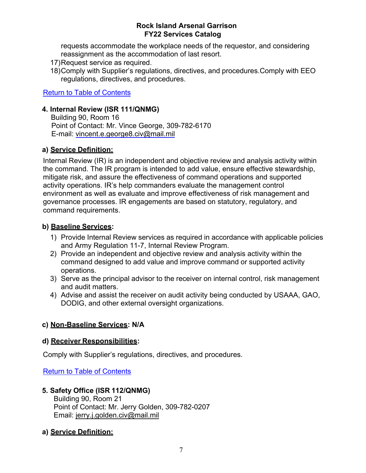requests accommodate the workplace needs of the requestor, and considering reassignment as the accommodation of last resort.

- 17)Request service as required.
- 18)Comply with Supplier's regulations, directives, and procedures.Comply with EEO regulations, directives, and procedures.

Return to Table of Contents

### **4. Internal Review (ISR 111/QNMG)**

Building 90, Room 16 Point of Contact: Mr. Vince George, 309-782-6170 E-mail: [vincent.e.george8.civ@mail.mil](mailto:vincent.e.george8.civ@mail.mil)

### **a) Service Definition:**

Internal Review (IR) is an independent and objective review and analysis activity within the command. The IR program is intended to add value, ensure effective stewardship, mitigate risk, and assure the effectiveness of command operations and supported activity operations. IR's help commanders evaluate the management control environment as well as evaluate and improve effectiveness of risk management and governance processes. IR engagements are based on statutory, regulatory, and command requirements.

### **b) Baseline Services:**

- 1) Provide Internal Review services as required in accordance with applicable policies and Army Regulation 11-7, Internal Review Program.
- 2) Provide an independent and objective review and analysis activity within the command designed to add value and improve command or supported activity operations.
- 3) Serve as the principal advisor to the receiver on internal control, risk management and audit matters.
- 4) Advise and assist the receiver on audit activity being conducted by USAAA, GAO, DODIG, and other external oversight organizations.

### **c) Non-Baseline Services: N/A**

### **d) Receiver Responsibilities:**

Comply with Supplier's regulations, directives, and procedures.

Return to Table of Contents

### **5. Safety Office (ISR 112/QNMG)**

Building 90, Room 21 Point of Contact: Mr. Jerry Golden, 309-782-0207 Email: [jerry.j.golden.civ@mail.mil](mailto:jerry.j.golden.civ@mail.mil)

### **a) Service Definition:**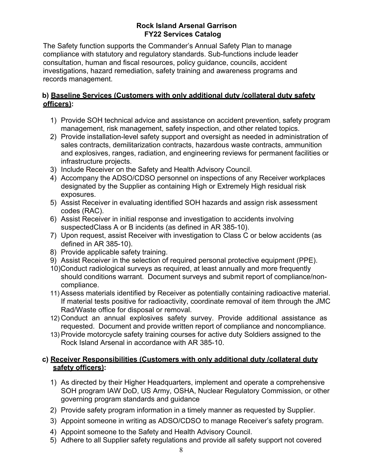The Safety function supports the Commander's Annual Safety Plan to manage compliance with statutory and regulatory standards. Sub-functions include leader consultation, human and fiscal resources, policy guidance, councils, accident investigations, hazard remediation, safety training and awareness programs and records management.

### **b) Baseline Services (Customers with only additional duty /collateral duty safety officers):**

- 1) Provide SOH technical advice and assistance on accident prevention, safety program management, risk management, safety inspection, and other related topics.
- 2) Provide installation-level safety support and oversight as needed in administration of sales contracts, demilitarization contracts, hazardous waste contracts, ammunition and explosives, ranges, radiation, and engineering reviews for permanent facilities or infrastructure projects.
- 3) Include Receiver on the Safety and Health Advisory Council.
- 4) Accompany the ADSO/CDSO personnel on inspections of any Receiver workplaces designated by the Supplier as containing High or Extremely High residual risk exposures.
- 5) Assist Receiver in evaluating identified SOH hazards and assign risk assessment codes (RAC).
- 6) Assist Receiver in initial response and investigation to accidents involving suspectedClass A or B incidents (as defined in AR 385-10).
- 7) Upon request, assist Receiver with investigation to Class C or below accidents (as defined in AR 385-10).
- 8) Provide applicable safety training.
- 9) Assist Receiver in the selection of required personal protective equipment (PPE).
- 10)Conduct radiological surveys as required, at least annually and more frequently should conditions warrant. Document surveys and submit report of compliance/noncompliance.
- 11) Assess materials identified by Receiver as potentially containing radioactive material. If material tests positive for radioactivity, coordinate removal of item through the JMC Rad/Waste office for disposal or removal.
- 12) Conduct an annual explosives safety survey. Provide additional assistance as requested. Document and provide written report of compliance and noncompliance.
- 13) Provide motorcycle safety training courses for active duty Soldiers assigned to the Rock Island Arsenal in accordance with AR 385-10.

### **c) Receiver Responsibilities (Customers with only additional duty /collateral duty safety officers):**

- 1) As directed by their Higher Headquarters, implement and operate a comprehensive SOH program IAW DoD, US Army, OSHA, Nuclear Regulatory Commission, or other governing program standards and guidance
- 2) Provide safety program information in a timely manner as requested by Supplier.
- 3) Appoint someone in writing as ADSO/CDSO to manage Receiver's safety program.
- 4) Appoint someone to the Safety and Health Advisory Council.
- 5) Adhere to all Supplier safety regulations and provide all safety support not covered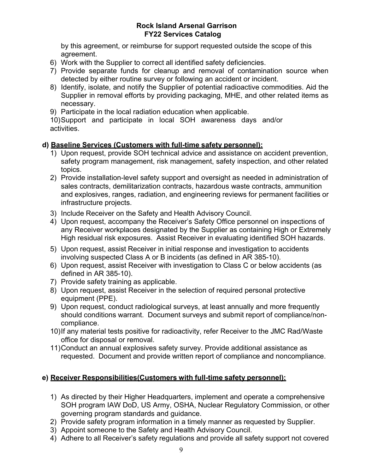by this agreement, or reimburse for support requested outside the scope of this agreement.

- 6) Work with the Supplier to correct all identified safety deficiencies.
- 7) Provide separate funds for cleanup and removal of contamination source when detected by either routine survey or following an accident or incident.
- 8) Identify, isolate, and notify the Supplier of potential radioactive commodities. Aid the Supplier in removal efforts by providing packaging, MHE, and other related items as necessary.
- 9) Participate in the local radiation education when applicable.

10)Support and participate in local SOH awareness days and/or activities.

### **d) Baseline Services (Customers with full-time safety personnel):**

- 1) Upon request, provide SOH technical advice and assistance on accident prevention, safety program management, risk management, safety inspection, and other related topics.
- 2) Provide installation-level safety support and oversight as needed in administration of sales contracts, demilitarization contracts, hazardous waste contracts, ammunition and explosives, ranges, radiation, and engineering reviews for permanent facilities or infrastructure projects.
- 3) Include Receiver on the Safety and Health Advisory Council.
- 4) Upon request, accompany the Receiver's Safety Office personnel on inspections of any Receiver workplaces designated by the Supplier as containing High or Extremely High residual risk exposures. Assist Receiver in evaluating identified SOH hazards.
- 5) Upon request, assist Receiver in initial response and investigation to accidents involving suspected Class A or B incidents (as defined in AR 385-10).
- 6) Upon request, assist Receiver with investigation to Class C or below accidents (as defined in AR 385-10).
- 7) Provide safety training as applicable.
- 8) Upon request, assist Receiver in the selection of required personal protective equipment (PPE).
- 9) Upon request, conduct radiological surveys, at least annually and more frequently should conditions warrant. Document surveys and submit report of compliance/noncompliance.
- 10)If any material tests positive for radioactivity, refer Receiver to the JMC Rad/Waste office for disposal or removal.
- 11)Conduct an annual explosives safety survey. Provide additional assistance as requested. Document and provide written report of compliance and noncompliance.

### **e) Receiver Responsibilities(Customers with full-time safety personnel):**

- 1) As directed by their Higher Headquarters, implement and operate a comprehensive SOH program IAW DoD, US Army, OSHA, Nuclear Regulatory Commission, or other governing program standards and guidance.
- 2) Provide safety program information in a timely manner as requested by Supplier.
- 3) Appoint someone to the Safety and Health Advisory Council.
- 4) Adhere to all Receiver's safety regulations and provide all safety support not covered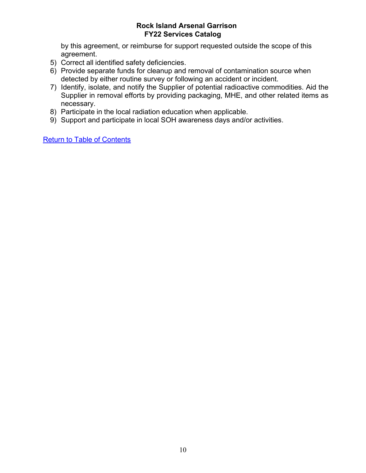by this agreement, or reimburse for support requested outside the scope of this agreement.

- 5) Correct all identified safety deficiencies.
- 6) Provide separate funds for cleanup and removal of contamination source when detected by either routine survey or following an accident or incident.
- 7) Identify, isolate, and notify the Supplier of potential radioactive commodities. Aid the Supplier in removal efforts by providing packaging, MHE, and other related items as necessary.
- 8) Participate in the local radiation education when applicable.
- 9) Support and participate in local SOH awareness days and/or activities.

Return to Table of Contents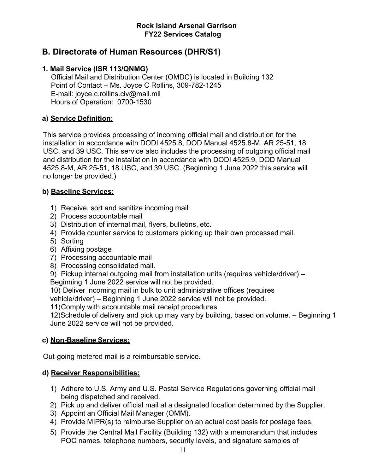### **B. Directorate of Human Resources (DHR/S1)**

### **1. Mail Service (ISR 113/QNMG)**

Official Mail and Distribution Center (OMDC) is located in Building 132 Point of Contact – Ms. Joyce C Rollins, 309-782-1245 E-mail: [joyce.c.rollins.civ@mail.mil](mailto:joyce.c.rollins.civ@mail.mil) Hours of Operation: 0700-1530

### **a) Service Definition:**

This service provides processing of incoming official mail and distribution for the installation in accordance with DODI 4525.8, DOD Manual 4525.8-M, AR 25-51, 18 USC, and 39 USC. This service also includes the processing of outgoing official mail and distribution for the installation in accordance with DODI 4525.9, DOD Manual 4525.8-M, AR 25-51, 18 USC, and 39 USC. (Beginning 1 June 2022 this service will no longer be provided.)

### **b) Baseline Services:**

- 1) Receive, sort and sanitize incoming mail
- 2) Process accountable mail
- 3) Distribution of internal mail, flyers, bulletins, etc.
- 4) Provide counter service to customers picking up their own processed mail.
- 5) Sorting
- 6) Affixing postage
- 7) Processing accountable mail
- 8) Processing consolidated mail.
- 9) Pickup internal outgoing mail from installation units (requires vehicle/driver) –
- Beginning 1 June 2022 service will not be provided.

10) Deliver incoming mail in bulk to unit administrative offices (requires

vehicle/driver) – Beginning 1 June 2022 service will not be provided.

11)Comply with accountable mail receipt procedures

12)Schedule of delivery and pick up may vary by building, based on volume. – Beginning 1 June 2022 service will not be provided.

### **c) Non-Baseline Services:**

Out-going metered mail is a reimbursable service.

### **d) Receiver Responsibilities:**

- 1) Adhere to U.S. Army and U.S. Postal Service Regulations governing official mail being dispatched and received.
- 2) Pick up and deliver official mail at a designated location determined by the Supplier.
- 3) Appoint an Official Mail Manager (OMM).
- 4) Provide MIPR(s) to reimburse Supplier on an actual cost basis for postage fees.
- 5) Provide the Central Mail Facility (Building 132) with a memorandum that includes POC names, telephone numbers, security levels, and signature samples of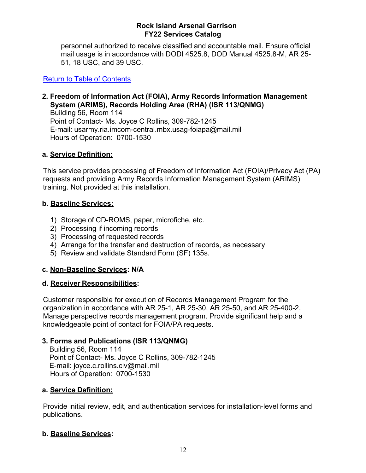personnel authorized to receive classified and accountable mail. Ensure official mail usage is in accordance with DODI 4525.8, DOD Manual 4525.8-M, AR 25- 51, 18 USC, and 39 USC.

Return to Table of Contents

### **2. Freedom of Information Act (FOIA), Army Records Information Management System (ARIMS), Records Holding Area (RHA) (ISR 113/QNMG)**

Building 56, Room 114 Point of Contact- Ms. Joyce C Rollins, 309-782-1245 E-mail: [usarmy.ria.imcom-central.mbx.usag-foiapa@mail.mil](mailto:usarmy.ria.imcom-central.mbx.usag-foiapa@mail.mil) Hours of Operation: 0700-1530

### **a. Service Definition:**

This service provides processing of Freedom of Information Act (FOIA)/Privacy Act (PA) requests and providing Army Records Information Management System (ARIMS) training. Not provided at this installation.

### **b. Baseline Services:**

- 1) Storage of CD-ROMS, paper, microfiche, etc.
- 2) Processing if incoming records
- 3) Processing of requested records
- 4) Arrange for the transfer and destruction of records, as necessary
- 5) Review and validate Standard Form (SF) 135s.

### **c. Non-Baseline Services: N/A**

### **d. Receiver Responsibilities:**

Customer responsible for execution of Records Management Program for the organization in accordance with AR 25-1, AR 25-30, AR 25-50, and AR 25-400-2. Manage perspective records management program. Provide significant help and a knowledgeable point of contact for FOIA/PA requests.

### **3. Forms and Publications (ISR 113/QNMG)**

Building 56, Room 114 Point of Contact- Ms. Joyce C Rollins, 309-782-1245 E-mail: [joyce.c.rollins.civ@mail.mil](mailto:joyce.c.rollins.civ@mail.mil) Hours of Operation: 0700-1530

### **a. Service Definition:**

Provide initial review, edit, and authentication services for installation-level forms and publications.

### **b. Baseline Services:**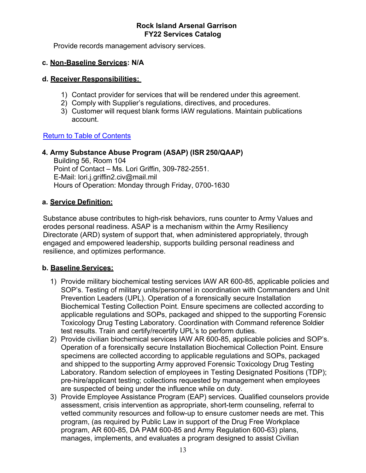Provide records management advisory services.

### **c. Non-Baseline Services: N/A**

### **d. Receiver Responsibilities:**

- 1) Contact provider for services that will be rendered under this agreement.
- 2) Comply with Supplier's regulations, directives, and procedures.
- 3) Customer will request blank forms IAW regulations. Maintain publications account.

### Return to Table of Contents

### **4. Army Substance Abuse Program (ASAP) (ISR 250/QAAP)**

Building 56, Room 104 Point of Contact – Ms. Lori Griffin, 309-782-2551. E-Mail: [lori.j.griffin2.civ@mail.mil](mailto:lori.j.griffin2.civ@mail.mil) Hours of Operation: Monday through Friday, 0700-1630

### **a. Service Definition:**

Substance abuse contributes to high-risk behaviors, runs counter to Army Values and erodes personal readiness. ASAP is a mechanism within the Army Resiliency Directorate (ARD) system of support that, when administered appropriately, through engaged and empowered leadership, supports building personal readiness and resilience, and optimizes performance.

### **b. Baseline Services:**

- 1) Provide military biochemical testing services IAW AR 600-85, applicable policies and SOP's. Testing of military units/personnel in coordination with Commanders and Unit Prevention Leaders (UPL). Operation of a forensically secure Installation Biochemical Testing Collection Point. Ensure specimens are collected according to applicable regulations and SOPs, packaged and shipped to the supporting Forensic Toxicology Drug Testing Laboratory. Coordination with Command reference Soldier test results. Train and certify/recertify UPL's to perform duties.
- 2) Provide civilian biochemical services IAW AR 600-85, applicable policies and SOP's. Operation of a forensically secure Installation Biochemical Collection Point. Ensure specimens are collected according to applicable regulations and SOPs, packaged and shipped to the supporting Army approved Forensic Toxicology Drug Testing Laboratory. Random selection of employees in Testing Designated Positions (TDP); pre-hire/applicant testing; collections requested by management when employees are suspected of being under the influence while on duty.
- 3) Provide Employee Assistance Program (EAP) services. Qualified counselors provide assessment, crisis intervention as appropriate, short-term counseling, referral to vetted community resources and follow-up to ensure customer needs are met. This program, (as required by Public Law in support of the Drug Free Workplace program, AR 600-85, DA PAM 600-85 and Army Regulation 600-63) plans, manages, implements, and evaluates a program designed to assist Civilian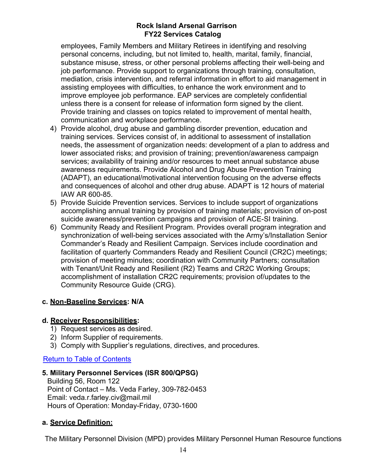employees, Family Members and Military Retirees in identifying and resolving personal concerns, including, but not limited to, health, marital, family, financial, substance misuse, stress, or other personal problems affecting their well-being and job performance. Provide support to organizations through training, consultation, mediation, crisis intervention, and referral information in effort to aid management in assisting employees with difficulties, to enhance the work environment and to improve employee job performance. EAP services are completely confidential unless there is a consent for release of information form signed by the client. Provide training and classes on topics related to improvement of mental health, communication and workplace performance.

- 4) Provide alcohol, drug abuse and gambling disorder prevention, education and training services. Services consist of, in additional to assessment of installation needs, the assessment of organization needs: development of a plan to address and lower associated risks; and provision of training; prevention/awareness campaign services; availability of training and/or resources to meet annual substance abuse awareness requirements. Provide Alcohol and Drug Abuse Prevention Training (ADAPT), an educational/motivational intervention focusing on the adverse effects and consequences of alcohol and other drug abuse. ADAPT is 12 hours of material IAW AR 600-85.
- 5) Provide Suicide Prevention services. Services to include support of organizations accomplishing annual training by provision of training materials; provision of on-post suicide awareness/prevention campaigns and provision of ACE-SI training.
- 6) Community Ready and Resilient Program. Provides overall program integration and synchronization of well-being services associated with the Army's/Installation Senior Commander's Ready and Resilient Campaign. Services include coordination and facilitation of quarterly Commanders Ready and Resilient Council (CR2C) meetings; provision of meeting minutes; coordination with Community Partners; consultation with Tenant/Unit Ready and Resilient (R2) Teams and CR2C Working Groups; accomplishment of installation CR2C requirements; provision of/updates to the Community Resource Guide (CRG).

### **c. Non-Baseline Services: N/A**

### **d. Receiver Responsibilities:**

- 1) Request services as desired.
- 2) Inform Supplier of requirements.
- 3) Comply with Supplier's regulations, directives, and procedures.

### Return to Table of Contents

### **5. Military Personnel Services (ISR 800/QPSG)**

Building 56, Room 122 Point of Contact – Ms. Veda Farley, 309-782-0453 Email: [veda.r.farley.civ@mail.mil](mailto:veda.r.farley.civ@mail.mil) Hours of Operation: Monday-Friday, 0730-1600

### **a. Service Definition:**

The Military Personnel Division (MPD) provides Military Personnel Human Resource functions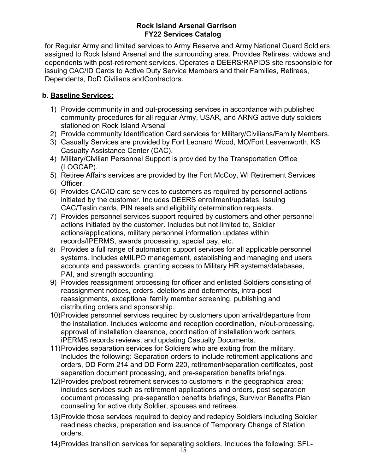for Regular Army and limited services to Army Reserve and Army National Guard Soldiers assigned to Rock Island Arsenal and the surrounding area. Provides Retirees, widows and dependents with post-retirement services. Operates a DEERS/RAPIDS site responsible for issuing CAC/ID Cards to Active Duty Service Members and their Families, Retirees, Dependents, DoD Civilians andContractors.

### **b. Baseline Services:**

- 1) Provide community in and out-processing services in accordance with published community procedures for all regular Army, USAR, and ARNG active duty soldiers stationed on Rock Island Arsenal
- 2) Provide community Identification Card services for Military/Civilians/Family Members.
- 3) Casualty Services are provided by Fort Leonard Wood, MO/Fort Leavenworth, KS Casualty Assistance Center (CAC).
- 4) Military/Civilian Personnel Support is provided by the Transportation Office (LOGCAP).
- 5) Retiree Affairs services are provided by the Fort McCoy, WI Retirement Services Officer.
- 6) Provides CAC/ID card services to customers as required by personnel actions initiated by the customer. Includes DEERS enrollment/updates, issuing CAC/Teslin cards, PIN resets and eligibility determination requests.
- 7) Provides personnel services support required by customers and other personnel actions initiated by the customer. Includes but not limited to, Soldier actions/applications, military personnel information updates within records/IPERMS, awards processing, special pay, etc.
- 8) Provides a full range of automation support services for all applicable personnel systems. Includes eMILPO management, establishing and managing end users accounts and passwords, granting access to Military HR systems/databases, PAI, and strength accounting.
- 9) Provides reassignment processing for officer and enlisted Soldiers consisting of reassignment notices, orders, deletions and deferments, intra-post reassignments, exceptional family member screening, publishing and distributing orders and sponsorship.
- 10)Provides personnel services required by customers upon arrival/departure from the installation. Includes welcome and reception coordination, in/out-processing, approval of installation clearance, coordination of installation work centers, iPERMS records reviews, and updating Casualty Documents.
- 11)Provides separation services for Soldiers who are exiting from the military. Includes the following: Separation orders to include retirement applications and orders, DD Form 214 and DD Form 220, retirement/separation certificates, post separation document processing, and pre-separation benefits briefings.
- 12)Provides pre/post retirement services to customers in the geographical area; includes services such as retirement applications and orders, post separation document processing, pre-separation benefits briefings, Survivor Benefits Plan counseling for active duty Soldier, spouses and retirees.
- 13)Provide those services required to deploy and redeploy Soldiers including Soldier readiness checks, preparation and issuance of Temporary Change of Station orders.
- 14)Provides transition services for separating soldiers. Includes the following: SFL-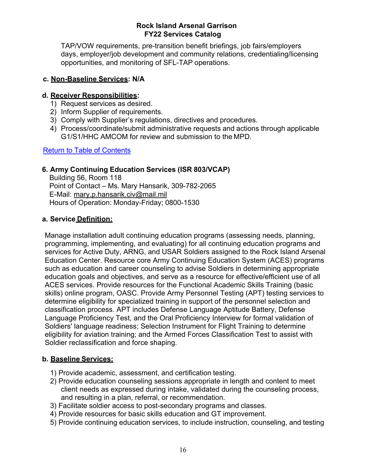TAP/VOW requirements, pre-transition benefit briefings, job fairs/employers days, employer/job development and community relations, credentialing/licensing opportunities, and monitoring of SFL-TAP operations.

### **c. Non-Baseline Services: N/A**

### **d. Receiver Responsibilities:**

- 1) Request services as desired.
- 2) Inform Supplier of requirements.
- 3) Comply with Supplier's regulations, directives and procedures.
- 4) Process/coordinate/submit administrative requests and actions through applicable G1/S1/HHC AMCOM for review and submission to the MPD.

Return to Table of Contents

### **6. Army Continuing Education Services (ISR 803/VCAP)**

Building 56, Room 118 Point of Contact – Ms. Mary Hansarik, 309-782-2065 E-Mail: [mary.p.hansarik.civ@mail.mil](mailto:mary.p.hansarik.civ@mail.mil) Hours of Operation: Monday-Friday; 0800-1530

### **a. Service Definition:**

Manage installation adult continuing education programs (assessing needs, planning, programming, implementing, and evaluating) for all continuing education programs and services for Active Duty, ARNG, and USAR Soldiers assigned to the Rock Island Arsenal Education Center. Resource core Army Continuing Education System (ACES) programs such as education and career counseling to advise Soldiers in determining appropriate education goals and objectives, and serve as a resource for effective/efficient use of all ACES services. Provide resources for the Functional Academic Skills Training (basic skills) online program, OASC. Provide Army Personnel Testing (APT) testing services to determine eligibility for specialized training in support of the personnel selection and classification process. APT includes Defense Language Aptitude Battery, Defense Language Proficiency Test, and the Oral Proficiency Interview for formal validation of Soldiers' language readiness; Selection Instrument for Flight Training to determine eligibility for aviation training; and the Armed Forces Classification Test to assist with Soldier reclassification and force shaping.

### **b. Baseline Services:**

- 1) Provide academic, assessment, and certification testing.
- 2) Provide education counseling sessions appropriate in length and content to meet client needs as expressed during intake, validated during the counseling process, and resulting in a plan, referral, or recommendation.
- 3) Facilitate soldier access to post-secondary programs and classes.
- 4) Provide resources for basic skills education and GT improvement.
- 5) Provide continuing education services, to include instruction, counseling, and testing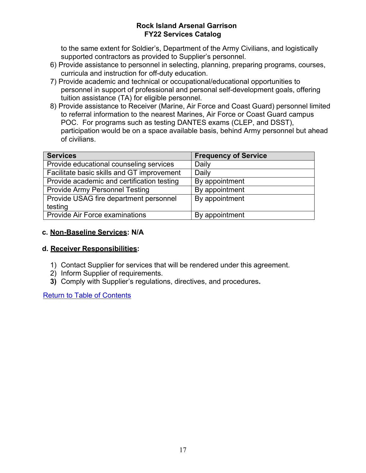to the same extent for Soldier's, Department of the Army Civilians, and logistically supported contractors as provided to Supplier's personnel.

- 6) Provide assistance to personnel in selecting, planning, preparing programs, courses, curricula and instruction for off-duty education.
- 7) Provide academic and technical or occupational/educational opportunities to personnel in support of professional and personal self-development goals, offering tuition assistance (TA) for eligible personnel.
- 8) Provide assistance to Receiver (Marine, Air Force and Coast Guard) personnel limited to referral information to the nearest Marines, Air Force or Coast Guard campus POC. For programs such as testing DANTES exams (CLEP, and DSST), participation would be on a space available basis, behind Army personnel but ahead of civilians.

| <b>Services</b>                            | <b>Frequency of Service</b> |
|--------------------------------------------|-----------------------------|
| Provide educational counseling services    | Daily                       |
| Facilitate basic skills and GT improvement | <b>Daily</b>                |
| Provide academic and certification testing | By appointment              |
| <b>Provide Army Personnel Testing</b>      | By appointment              |
| Provide USAG fire department personnel     | By appointment              |
| testing                                    |                             |
| <b>Provide Air Force examinations</b>      | By appointment              |

### **c. Non-Baseline Services: N/A**

### **d. Receiver Responsibilities:**

- 1) Contact Supplier for services that will be rendered under this agreement.
- 2) Inform Supplier of requirements.
- **3)** Comply with Supplier's regulations, directives, and procedures**.**

Return to Table of Contents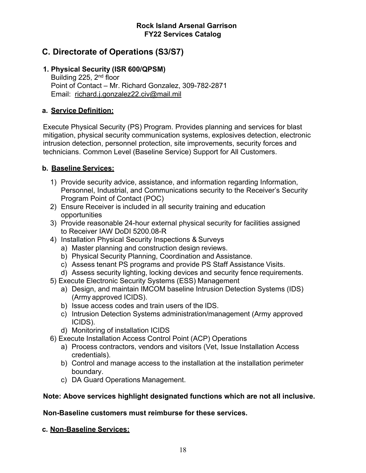### **C. Directorate of Operations (S3/S7)**

### **1. Physical Security (ISR 600/QPSM)**

Building 225, 2<sup>nd</sup> floor Point of Contact – Mr. Richard Gonzalez, 309-782-2871 Email: [richard.j.gonzalez22.civ@mail.mil](mailto:richard.j.gonzalez22.civ@mail.mil)

### **a. Service Definition:**

Execute Physical Security (PS) Program. Provides planning and services for blast mitigation, physical security communication systems, explosives detection, electronic intrusion detection, personnel protection, site improvements, security forces and technicians. Common Level (Baseline Service) Support for All Customers.

### **b. Baseline Services:**

- 1) Provide security advice, assistance, and information regarding Information, Personnel, Industrial, and Communications security to the Receiver's Security Program Point of Contact (POC)
- 2) Ensure Receiver is included in all security training and education opportunities
- 3) Provide reasonable 24-hour external physical security for facilities assigned to Receiver IAW DoDI 5200.08-R
- 4) Installation Physical Security Inspections & Surveys
	- a) Master planning and construction design reviews.
	- b) Physical Security Planning, Coordination and Assistance.
	- c) Assess tenant PS programs and provide PS Staff Assistance Visits.
	- d) Assess security lighting, locking devices and security fence requirements.
- 5) Execute Electronic Security Systems (ESS) Management
	- a) Design, and maintain IMCOM baseline Intrusion Detection Systems (IDS) (Army approved ICIDS).
	- b) Issue access codes and train users of the IDS.
	- c) Intrusion Detection Systems administration/management (Army approved ICIDS).
	- d) Monitoring of installation ICIDS
- 6) Execute Installation Access Control Point (ACP) Operations
	- a) Process contractors, vendors and visitors (Vet, Issue Installation Access credentials).
	- b) Control and manage access to the installation at the installation perimeter boundary.
	- c) DA Guard Operations Management.

### **Note: Above services highlight designated functions which are not all inclusive.**

### **Non-Baseline customers must reimburse for these services.**

### **c. Non-Baseline Services:**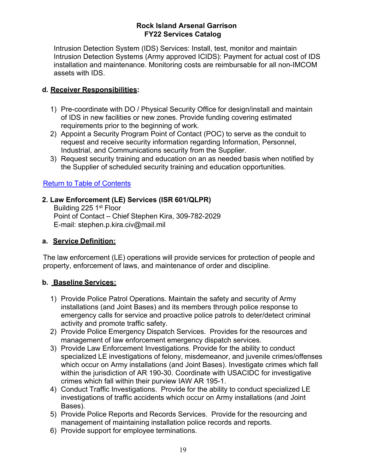Intrusion Detection System (IDS) Services: Install, test, monitor and maintain Intrusion Detection Systems (Army approved ICIDS): Payment for actual cost of IDS installation and maintenance. Monitoring costs are reimbursable for all non-IMCOM assets with IDS.

### **d. Receiver Responsibilities:**

- 1) Pre-coordinate with DO / Physical Security Office for design/install and maintain of IDS in new facilities or new zones. Provide funding covering estimated requirements prior to the beginning of work.
- 2) Appoint a Security Program Point of Contact (POC) to serve as the conduit to request and receive security information regarding Information, Personnel, Industrial, and Communications security from the Supplier.
- 3) Request security training and education on an as needed basis when notified by the Supplier of scheduled security training and education opportunities.

### Return to Table of Contents

### **2. Law Enforcement (LE) Services (ISR 601/QLPR)**

Building 225 1<sup>st</sup> Floor Point of Contact – Chief Stephen Kira, 309-782-2029 E-mail: [stephen.p.kira.civ@mail.mil](mailto:stephen.p.kira.civ@mail.mil)

### **a. Service Definition:**

The law enforcement (LE) operations will provide services for protection of people and property, enforcement of laws, and maintenance of order and discipline.

### **b. Baseline Services:**

- 1) Provide Police Patrol Operations. Maintain the safety and security of Army installations (and Joint Bases) and its members through police response to emergency calls for service and proactive police patrols to deter/detect criminal activity and promote traffic safety.
- 2) Provide Police Emergency Dispatch Services. Provides for the resources and management of law enforcement emergency dispatch services.
- 3) Provide Law Enforcement Investigations. Provide for the ability to conduct specialized LE investigations of felony, misdemeanor, and juvenile crimes/offenses which occur on Army installations (and Joint Bases). Investigate crimes which fall within the jurisdiction of AR 190-30. Coordinate with USACIDC for investigative crimes which fall within their purview IAW AR 195-1.
- 4) Conduct Traffic Investigations. Provide for the ability to conduct specialized LE investigations of traffic accidents which occur on Army installations (and Joint Bases).
- 5) Provide Police Reports and Records Services. Provide for the resourcing and management of maintaining installation police records and reports.
- 6) Provide support for employee terminations.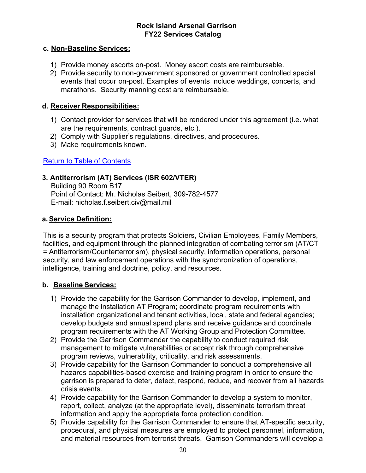### **c. Non-Baseline Services:**

- 1) Provide money escorts on-post. Money escort costs are reimbursable.
- 2) Provide security to non-government sponsored or government controlled special events that occur on-post. Examples of events include weddings, concerts, and marathons. Security manning cost are reimbursable.

### **d. Receiver Responsibilities:**

- 1) Contact provider for services that will be rendered under this agreement (i.e. what are the requirements, contract guards, etc.).
- 2) Comply with Supplier's regulations, directives, and procedures.
- 3) Make requirements known.

### Return to Table of Contents

### **3. Antiterrorism (AT) Services (ISR 602/VTER)**

Building 90 Room B17 Point of Contact: Mr. Nicholas Seibert, 309-782-4577 E-mail: [nicholas.f.seibert.civ@mail.mil](mailto:nicholas.f.seibert.civ@mail.mil)

### **a.Service Definition:**

This is a security program that protects Soldiers, Civilian Employees, Family Members, facilities, and equipment through the planned integration of combating terrorism (AT/CT = Antiterrorism/Counterterrorism), physical security, information operations, personal security, and law enforcement operations with the synchronization of operations, intelligence, training and doctrine, policy, and resources.

### **b. Baseline Services:**

- 1) Provide the capability for the Garrison Commander to develop, implement, and manage the installation AT Program; coordinate program requirements with installation organizational and tenant activities, local, state and federal agencies; develop budgets and annual spend plans and receive guidance and coordinate program requirements with the AT Working Group and Protection Committee.
- 2) Provide the Garrison Commander the capability to conduct required risk management to mitigate vulnerabilities or accept risk through comprehensive program reviews, vulnerability, criticality, and risk assessments.
- 3) Provide capability for the Garrison Commander to conduct a comprehensive all hazards capabilities-based exercise and training program in order to ensure the garrison is prepared to deter, detect, respond, reduce, and recover from all hazards crisis events.
- 4) Provide capability for the Garrison Commander to develop a system to monitor, report, collect, analyze (at the appropriate level), disseminate terrorism threat information and apply the appropriate force protection condition.
- 5) Provide capability for the Garrison Commander to ensure that AT-specific security, procedural, and physical measures are employed to protect personnel, information, and material resources from terrorist threats. Garrison Commanders will develop a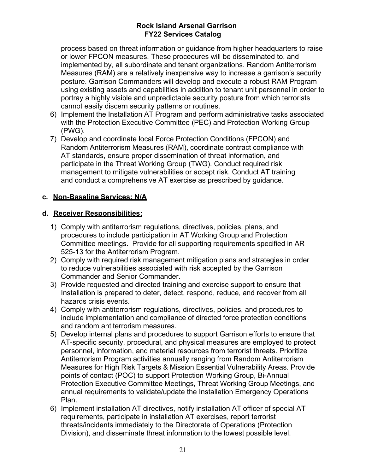process based on threat information or guidance from higher headquarters to raise or lower FPCON measures. These procedures will be disseminated to, and implemented by, all subordinate and tenant organizations. Random Antiterrorism Measures (RAM) are a relatively inexpensive way to increase a garrison's security posture. Garrison Commanders will develop and execute a robust RAM Program using existing assets and capabilities in addition to tenant unit personnel in order to portray a highly visible and unpredictable security posture from which terrorists cannot easily discern security patterns or routines.

- 6) Implement the Installation AT Program and perform administrative tasks associated with the Protection Executive Committee (PEC) and Protection Working Group (PWG).
- 7) Develop and coordinate local Force Protection Conditions (FPCON) and Random Antiterrorism Measures (RAM), coordinate contract compliance with AT standards, ensure proper dissemination of threat information, and participate in the Threat Working Group (TWG). Conduct required risk management to mitigate vulnerabilities or accept risk. Conduct AT training and conduct a comprehensive AT exercise as prescribed by guidance.

### **c. Non-Baseline Services: N/A**

### **d. Receiver Responsibilities:**

- 1) Comply with antiterrorism regulations, directives, policies, plans, and procedures to include participation in AT Working Group and Protection Committee meetings. Provide for all supporting requirements specified in AR 525-13 for the Antiterrorism Program.
- 2) Comply with required risk management mitigation plans and strategies in order to reduce vulnerabilities associated with risk accepted by the Garrison Commander and Senior Commander.
- 3) Provide requested and directed training and exercise support to ensure that Installation is prepared to deter, detect, respond, reduce, and recover from all hazards crisis events.
- 4) Comply with antiterrorism regulations, directives, policies, and procedures to include implementation and compliance of directed force protection conditions and random antiterrorism measures.
- 5) Develop internal plans and procedures to support Garrison efforts to ensure that AT-specific security, procedural, and physical measures are employed to protect personnel, information, and material resources from terrorist threats. Prioritize Antiterrorism Program activities annually ranging from Random Antiterrorism Measures for High Risk Targets & Mission Essential Vulnerability Areas. Provide points of contact (POC) to support Protection Working Group, Bi-Annual Protection Executive Committee Meetings, Threat Working Group Meetings, and annual requirements to validate/update the Installation Emergency Operations Plan.
- 6) Implement installation AT directives, notify installation AT officer of special AT requirements, participate in installation AT exercises, report terrorist threats/incidents immediately to the Directorate of Operations (Protection Division), and disseminate threat information to the lowest possible level.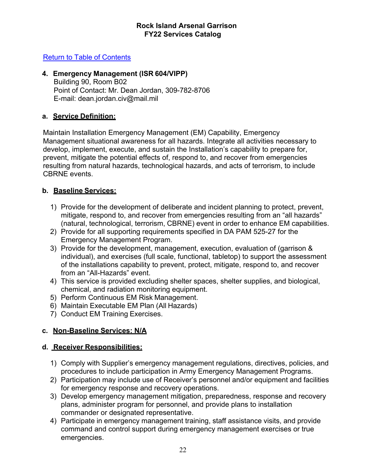### Return to Table of Contents

### **4. Emergency Management (ISR 604/VIPP)**

Building 90, Room B02 Point of Contact: Mr. Dean Jordan, 309-782-8706 E-mail: [dean.jordan.civ@mail.mil](mailto:dean.jordan.civ@mail.mil)

### **a. Service Definition:**

Maintain Installation Emergency Management (EM) Capability, Emergency Management situational awareness for all hazards. Integrate all activities necessary to develop, implement, execute, and sustain the Installation's capability to prepare for, prevent, mitigate the potential effects of, respond to, and recover from emergencies resulting from natural hazards, technological hazards, and acts of terrorism, to include CBRNE events.

### **b. Baseline Services:**

- 1) Provide for the development of deliberate and incident planning to protect, prevent, mitigate, respond to, and recover from emergencies resulting from an "all hazards" (natural, technological, terrorism, CBRNE) event in order to enhance EM capabilities.
- 2) Provide for all supporting requirements specified in DA PAM 525-27 for the Emergency Management Program.
- 3) Provide for the development, management, execution, evaluation of (garrison & individual), and exercises (full scale, functional, tabletop) to support the assessment of the installations capability to prevent, protect, mitigate, respond to, and recover from an "All-Hazards" event.
- 4) This service is provided excluding shelter spaces, shelter supplies, and biological, chemical, and radiation monitoring equipment.
- 5) Perform Continuous EM Risk Management.
- 6) Maintain Executable EM Plan (All Hazards)
- 7) Conduct EM Training Exercises.

### **c. Non-Baseline Services: N/A**

### **d. Receiver Responsibilities:**

- 1) Comply with Supplier's emergency management regulations, directives, policies, and procedures to include participation in Army Emergency Management Programs.
- 2) Participation may include use of Receiver's personnel and/or equipment and facilities for emergency response and recovery operations.
- 3) Develop emergency management mitigation, preparedness, response and recovery plans, administer program for personnel, and provide plans to installation commander or designated representative.
- 4) Participate in emergency management training, staff assistance visits, and provide command and control support during emergency management exercises or true emergencies.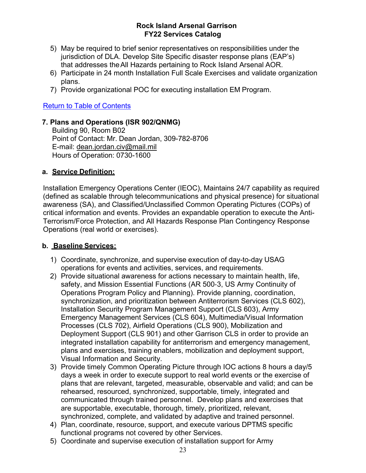- 5) May be required to brief senior representatives on responsibilities under the jurisdiction of DLA. Develop Site Specific disaster response plans (EAP's) that addresses theAll Hazards pertaining to Rock Island Arsenal AOR.
- 6) Participate in 24 month Installation Full Scale Exercises and validate organization plans.
- 7) Provide organizational POC for executing installation EM Program.

### Return to Table of Contents

### **7. Plans and Operations (ISR 902/QNMG)**

Building 90, Room B02 Point of Contact: Mr. Dean Jordan, 309-782-8706 E-mail: [dean.jordan.civ@mail.mil](mailto:dean.jordan.civ@mail.mil) Hours of Operation: 0730-1600

### **a. Service Definition:**

Installation Emergency Operations Center (IEOC), Maintains 24/7 capability as required (defined as scalable through telecommunications and physical presence) for situational awareness (SA), and Classified/Unclassified Common Operating Pictures (COPs) of critical information and events. Provides an expandable operation to execute the Anti-Terrorism/Force Protection, and All Hazards Response Plan Contingency Response Operations (real world or exercises).

### **b. Baseline Services:**

- 1) Coordinate, synchronize, and supervise execution of day-to-day USAG operations for events and activities, services, and requirements.
- 2) Provide situational awareness for actions necessary to maintain health, life, safety, and Mission Essential Functions (AR 500‐3, US Army Continuity of Operations Program Policy and Planning). Provide planning, coordination, synchronization, and prioritization between Antiterrorism Services (CLS 602), Installation Security Program Management Support (CLS 603), Army Emergency Management Services (CLS 604), Multimedia/Visual Information Processes (CLS 702), Airfield Operations (CLS 900), Mobilization and Deployment Support (CLS 901) and other Garrison CLS in order to provide an integrated installation capability for antiterrorism and emergency management, plans and exercises, training enablers, mobilization and deployment support, Visual Information and Security.
- 3) Provide timely Common Operating Picture through IOC actions 8 hours a day/5 days a week in order to execute support to real world events or the exercise of plans that are relevant, targeted, measurable, observable and valid; and can be rehearsed, resourced, synchronized, supportable, timely, integrated and communicated through trained personnel. Develop plans and exercises that are supportable, executable, thorough, timely, prioritized, relevant, synchronized, complete, and validated by adaptive and trained personnel.
- 4) Plan, coordinate, resource, support, and execute various DPTMS specific functional programs not covered by other Services.
- 5) Coordinate and supervise execution of installation support for Army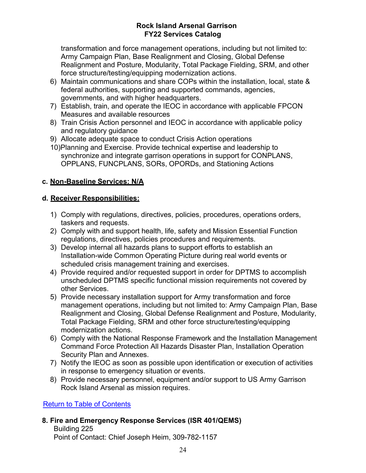transformation and force management operations, including but not limited to: Army Campaign Plan, Base Realignment and Closing, Global Defense Realignment and Posture, Modularity, Total Package Fielding, SRM, and other force structure/testing/equipping modernization actions.

- 6) Maintain communications and share COPs within the installation, local, state & federal authorities, supporting and supported commands, agencies, governments, and with higher headquarters.
- 7) Establish, train, and operate the IEOC in accordance with applicable FPCON Measures and available resources
- 8) Train Crisis Action personnel and IEOC in accordance with applicable policy and regulatory guidance
- 9) Allocate adequate space to conduct Crisis Action operations
- 10)Planning and Exercise. Provide technical expertise and leadership to synchronize and integrate garrison operations in support for CONPLANS, OPPLANS, FUNCPLANS, SORs, OPORDs, and Stationing Actions

### **c. Non-Baseline Services: N/A**

### **d. Receiver Responsibilities:**

- 1) Comply with regulations, directives, policies, procedures, operations orders, taskers and requests.
- 2) Comply with and support health, life, safety and Mission Essential Function regulations, directives, policies procedures and requirements.
- 3) Develop internal all hazards plans to support efforts to establish an Installation-wide Common Operating Picture during real world events or scheduled crisis management training and exercises.
- 4) Provide required and/or requested support in order for DPTMS to accomplish unscheduled DPTMS specific functional mission requirements not covered by other Services.
- 5) Provide necessary installation support for Army transformation and force management operations, including but not limited to: Army Campaign Plan, Base Realignment and Closing, Global Defense Realignment and Posture, Modularity, Total Package Fielding, SRM and other force structure/testing/equipping modernization actions.
- 6) Comply with the National Response Framework and the Installation Management Command Force Protection All Hazards Disaster Plan, Installation Operation Security Plan and Annexes.
- 7) Notify the IEOC as soon as possible upon identification or execution of activities in response to emergency situation or events.
- 8) Provide necessary personnel, equipment and/or support to US Army Garrison Rock Island Arsenal as mission requires.

Return to Table of Contents

### **8. Fire and Emergency Response Services (ISR 401/QEMS)**

Building 225 Point of Contact: Chief Joseph Heim, 309-782-1157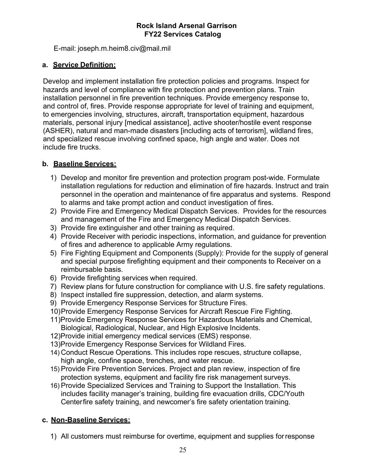E-mail: [joseph.m.heim8.civ@mail.mil](mailto:joseph.m.heim8.civ@mail.mil)

### **a. Service Definition:**

Develop and implement installation fire protection policies and programs. Inspect for hazards and level of compliance with fire protection and prevention plans. Train installation personnel in fire prevention techniques. Provide emergency response to, and control of, fires. Provide response appropriate for level of training and equipment, to emergencies involving, structures, aircraft, transportation equipment, hazardous materials, personal injury [medical assistance], active shooter/hostile event response (ASHER), natural and man-made disasters [including acts of terrorism], wildland fires, and specialized rescue involving confined space, high angle and water. Does not include fire trucks.

### **b. Baseline Services:**

- 1) Develop and monitor fire prevention and protection program post-wide. Formulate installation regulations for reduction and elimination of fire hazards. Instruct and train personnel in the operation and maintenance of fire apparatus and systems. Respond to alarms and take prompt action and conduct investigation of fires.
- 2) Provide Fire and Emergency Medical Dispatch Services. Provides for the resources and management of the Fire and Emergency Medical Dispatch Services.
- 3) Provide fire extinguisher and other training as required.
- 4) Provide Receiver with periodic inspections, information, and guidance for prevention of fires and adherence to applicable Army regulations.
- 5) Fire Fighting Equipment and Components (Supply): Provide for the supply of general and special purpose firefighting equipment and their components to Receiver on a reimbursable basis.
- 6) Provide firefighting services when required.
- 7) Review plans for future construction for compliance with U.S. fire safety regulations.
- 8) Inspect installed fire suppression, detection, and alarm systems.
- 9) Provide Emergency Response Services for Structure Fires.
- 10)Provide Emergency Response Services for Aircraft Rescue Fire Fighting.
- 11)Provide Emergency Response Services for Hazardous Materials and Chemical, Biological, Radiological, Nuclear, and High Explosive Incidents.
- 12)Provide initial emergency medical services (EMS) response.
- 13)Provide Emergency Response Services for Wildland Fires.
- 14) Conduct Rescue Operations. This includes rope rescues, structure collapse, high angle, confine space, trenches, and water rescue.
- 15) Provide Fire Prevention Services. Project and plan review, inspection of fire protection systems, equipment and facility fire risk management surveys.
- 16) Provide Specialized Services and Training to Support the Installation. This includes facility manager's training, building fire evacuation drills, CDC/Youth Centerfire safety training, and newcomer's fire safety orientation training.

### **c. Non-Baseline Services:**

1) All customers must reimburse for overtime, equipment and supplies forresponse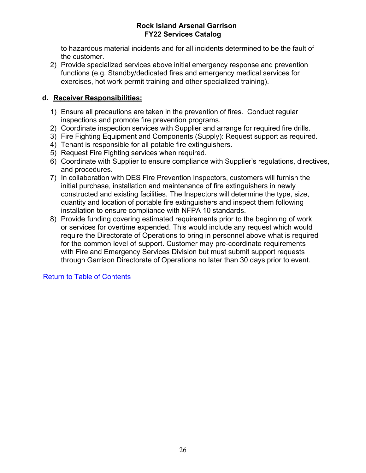to hazardous material incidents and for all incidents determined to be the fault of the customer.

2) Provide specialized services above initial emergency response and prevention functions (e.g. Standby/dedicated fires and emergency medical services for exercises, hot work permit training and other specialized training).

### **d. Receiver Responsibilities:**

- 1) Ensure all precautions are taken in the prevention of fires. Conduct regular inspections and promote fire prevention programs.
- 2) Coordinate inspection services with Supplier and arrange for required fire drills.
- 3) Fire Fighting Equipment and Components (Supply): Request support as required.
- 4) Tenant is responsible for all potable fire extinguishers.
- 5) Request Fire Fighting services when required.
- 6) Coordinate with Supplier to ensure compliance with Supplier's regulations, directives, and procedures.
- 7) In collaboration with DES Fire Prevention Inspectors, customers will furnish the initial purchase, installation and maintenance of fire extinguishers in newly constructed and existing facilities. The Inspectors will determine the type, size, quantity and location of portable fire extinguishers and inspect them following installation to ensure compliance with NFPA 10 standards.
- 8) Provide funding covering estimated requirements prior to the beginning of work or services for overtime expended. This would include any request which would require the Directorate of Operations to bring in personnel above what is required for the common level of support. Customer may pre-coordinate requirements with Fire and Emergency Services Division but must submit support requests through Garrison Directorate of Operations no later than 30 days prior to event.

Return to Table of Contents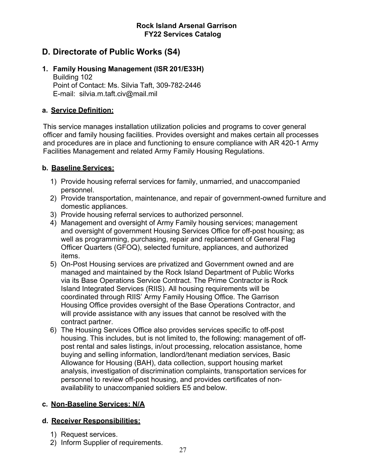### **D. Directorate of Public Works (S4)**

#### **1. Family Housing Management (ISR 201/E33H)** Building 102 Point of Contact: Ms. Silvia Taft, 309-782-2446 E-mail: [silvia.m.taft.civ@mail.mil](mailto:silvia.m.taft.civ@mail.mil)

### **a. Service Definition:**

This service manages installation utilization policies and programs to cover general officer and family housing facilities. Provides oversight and makes certain all processes and procedures are in place and functioning to ensure compliance with AR 420-1 Army Facilities Management and related Army Family Housing Regulations.

### **b. Baseline Services:**

- 1) Provide housing referral services for family, unmarried, and unaccompanied personnel.
- 2) Provide transportation, maintenance, and repair of government-owned furniture and domestic appliances.
- 3) Provide housing referral services to authorized personnel.
- 4) Management and oversight of Army Family housing services; management and oversight of government Housing Services Office for off-post housing; as well as programming, purchasing, repair and replacement of General Flag Officer Quarters (GFOQ), selected furniture, appliances, and authorized items.
- 5) On-Post Housing services are privatized and Government owned and are managed and maintained by the Rock Island Department of Public Works via its Base Operations Service Contract. The Prime Contractor is Rock Island Integrated Services (RIIS). All housing requirements will be coordinated through RIIS' Army Family Housing Office. The Garrison Housing Office provides oversight of the Base Operations Contractor, and will provide assistance with any issues that cannot be resolved with the contract partner.
- 6) The Housing Services Office also provides services specific to off-post housing. This includes, but is not limited to, the following: management of offpost rental and sales listings, in/out processing, relocation assistance, home buying and selling information, landlord/tenant mediation services, Basic Allowance for Housing (BAH), data collection, support housing market analysis, investigation of discrimination complaints, transportation services for personnel to review off-post housing, and provides certificates of nonavailability to unaccompanied soldiers E5 and below.

### **c. Non-Baseline Services: N/A**

### **d. Receiver Responsibilities:**

- 1) Request services.
- 2) Inform Supplier of requirements.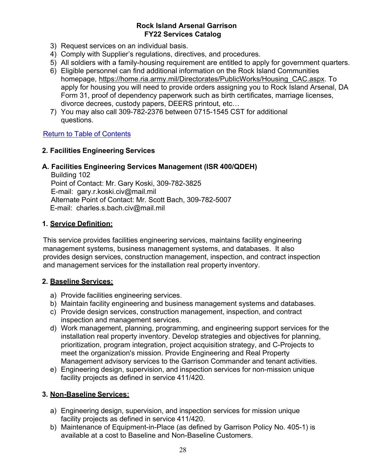- 3) Request services on an individual basis.
- 4) Comply with Supplier's regulations, directives, and procedures.
- 5) All soldiers with a family-housing requirement are entitled to apply for government quarters.
- 6) Eligible personnel can find additional information on the Rock Island Communities homepage, [https://home.ria.army.mil/Directorates/PublicWorks/Housing\\_CAC.aspx.](https://home.ria.army.mil/Directorates/PublicWorks/Housing_CAC.aspx) To apply for housing you will need to provide orders assigning you to Rock Island Arsenal, DA Form 31, proof of dependency paperwork such as birth certificates, marriage licenses, divorce decrees, custody papers, DEERS printout, etc…
- 7) You may also call 309-782-2376 between 0715-1545 CST for additional questions.

### Return to Table of Contents

### **2. Facilities Engineering Services**

### **A. Facilities Engineering Services Management (ISR 400/QDEH)**

Building 102 Point of Contact: Mr. Gary Koski, 309-782-3825 E-mail: [gary.r.koski.civ@mail.mil](mailto:gary.r.koski.civ@mail.mil) Alternate Point of Contact: Mr. Scott Bach, 309-782-5007 E-mail: [charles.s.bach.civ@mail.mil](mailto:charles.s.bach.civ@mail.mil)

### **1. Service Definition:**

This service provides facilities engineering services, maintains facility engineering management systems, business management systems, and databases. It also provides design services, construction management, inspection, and contract inspection and management services for the installation real property inventory.

### **2. Baseline Services:**

- a) Provide facilities engineering services.
- b) Maintain facility engineering and business management systems and databases.
- c) Provide design services, construction management, inspection, and contract inspection and management services.
- d) Work management, planning, programming, and engineering support services for the installation real property inventory. Develop strategies and objectives for planning, prioritization, program integration, project acquisition strategy, and C-Projects to meet the organization's mission. Provide Engineering and Real Property Management advisory services to the Garrison Commander and tenant activities.
- e) Engineering design, supervision, and inspection services for non-mission unique facility projects as defined in service 411/420.

### **3. Non-Baseline Services:**

- a) Engineering design, supervision, and inspection services for mission unique facility projects as defined in service 411/420.
- b) Maintenance of Equipment-in-Place (as defined by Garrison Policy No. 405-1) is available at a cost to Baseline and Non-Baseline Customers.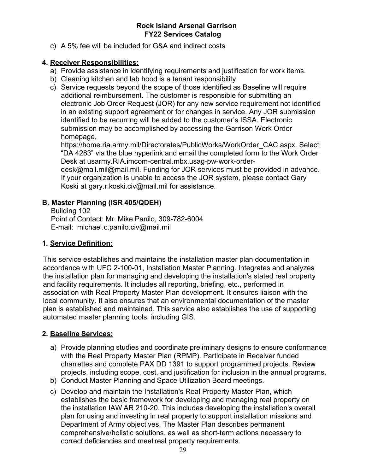c) A 5% fee will be included for G&A and indirect costs

### **4. Receiver Responsibilities:**

- a) Provide assistance in identifying requirements and justification for work items.
- b) Cleaning kitchen and lab hood is a tenant responsibility.
- c) Service requests beyond the scope of those identified as Baseline will require additional reimbursement. The customer is responsible for submitting an electronic Job Order Request (JOR) for any new service requirement not identified in an existing support agreement or for changes in service. Any JOR submission identified to be recurring will be added to the customer's ISSA. Electronic submission may be accomplished by accessing the Garrison Work Order homepage,

https://home.ria.army.mil/Directorates/PublicWorks/WorkOrder\_CAC.aspx. Select "DA 4283" via the blue hyperlink and email the completed form to the Work Order Desk at usarmy.RIA.imcom-central.mbx.usag-pw-work-order-

desk@mail.mil@mail.mil. Funding for JOR services must be provided in advance. If your organization is unable to access the JOR system, please contact Gary Koski at [gary.r.koski.civ@mail.mil](mailto:gary.r.koski.civ@mail.mil) for assistance.

### **B. Master Planning (ISR 405/QDEH)**

Building 102 Point of Contact: Mr. Mike Panilo, 309-782-6004 E-mail: [michael.c.panilo.civ@mail.mil](mailto:michael.c.panilo.civ@mail.mil)

### **1. Service Definition:**

This service establishes and maintains the installation master plan documentation in accordance with UFC 2-100-01, Installation Master Planning. Integrates and analyzes the installation plan for managing and developing the installation's stated real property and facility requirements. It includes all reporting, briefing, etc., performed in association with Real Property Master Plan development. It ensures liaison with the local community. It also ensures that an environmental documentation of the master plan is established and maintained. This service also establishes the use of supporting automated master planning tools, including GIS.

### **2. Baseline Services:**

- a) Provide planning studies and coordinate preliminary designs to ensure conformance with the Real Property Master Plan (RPMP). Participate in Receiver funded charrettes and complete PAX DD 1391 to support programmed projects. Review projects, including scope, cost, and justification for inclusion in the annual programs.
- b) Conduct Master Planning and Space Utilization Board meetings.
- c) Develop and maintain the Installation's Real Property Master Plan, which establishes the basic framework for developing and managing real property on the installation IAW AR 210-20. This includes developing the installation's overall plan for using and investing in real property to support installation missions and Department of Army objectives. The Master Plan describes permanent comprehensive/holistic solutions, as well as short-term actions necessary to correct deficiencies and meetreal property requirements.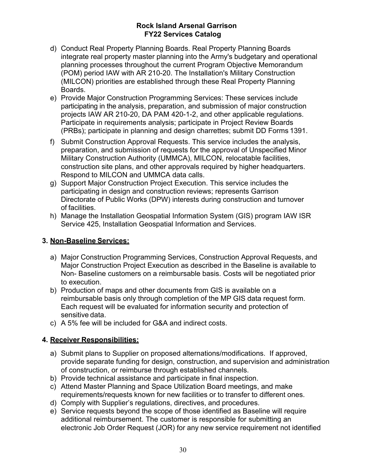- d) Conduct Real Property Planning Boards. Real Property Planning Boards integrate real property master planning into the Army's budgetary and operational planning processes throughout the current Program Objective Memorandum (POM) period IAW with AR 210-20. The Installation's Military Construction (MILCON) priorities are established through these Real Property Planning Boards.
- e) Provide Major Construction Programming Services: These services include participating in the analysis, preparation, and submission of major construction projects IAW AR 210-20, DA PAM 420-1-2, and other applicable regulations. Participate in requirements analysis; participate in Project Review Boards (PRBs); participate in planning and design charrettes; submit DD Forms 1391.
- f) Submit Construction Approval Requests. This service includes the analysis, preparation, and submission of requests for the approval of Unspecified Minor Military Construction Authority (UMMCA), MILCON, relocatable facilities, construction site plans, and other approvals required by higher headquarters. Respond to MILCON and UMMCA data calls.
- g) Support Major Construction Project Execution. This service includes the participating in design and construction reviews; represents Garrison Directorate of Public Works (DPW) interests during construction and turnover of facilities.
- h) Manage the Installation Geospatial Information System (GIS) program IAW ISR Service 425, Installation Geospatial Information and Services.

### **3. Non-Baseline Services:**

- a) Major Construction Programming Services, Construction Approval Requests, and Major Construction Project Execution as described in the Baseline is available to Non- Baseline customers on a reimbursable basis. Costs will be negotiated prior to execution.
- b) Production of maps and other documents from GIS is available on a reimbursable basis only through completion of the MP GIS data request form. Each request will be evaluated for information security and protection of sensitive data.
- c) A 5% fee will be included for G&A and indirect costs.

### **4. Receiver Responsibilities:**

- a) Submit plans to Supplier on proposed alternations/modifications. If approved, provide separate funding for design, construction, and supervision and administration of construction, or reimburse through established channels.
- b) Provide technical assistance and participate in final inspection.
- c) Attend Master Planning and Space Utilization Board meetings, and make requirements/requests known for new facilities or to transfer to different ones.
- d) Comply with Supplier's regulations, directives, and procedures.
- e) Service requests beyond the scope of those identified as Baseline will require additional reimbursement. The customer is responsible for submitting an electronic Job Order Request (JOR) for any new service requirement not identified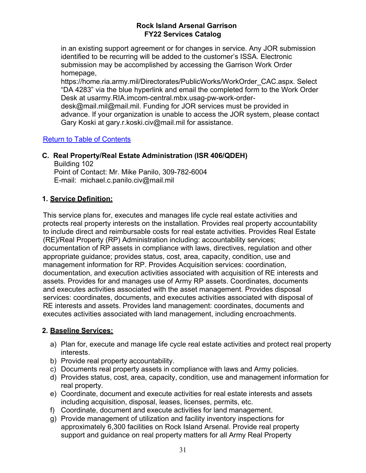in an existing support agreement or for changes in service. Any JOR submission identified to be recurring will be added to the customer's ISSA. Electronic submission may be accomplished by accessing the Garrison Work Order homepage,

https://home.ria.army.mil/Directorates/PublicWorks/WorkOrder\_CAC.aspx. Select "DA 4283" via the blue hyperlink and email the completed form to the Work Order Desk at usarmy.RIA.imcom-central.mbx.usag-pw-work-orderdesk@mail.mil@mail.mil. Funding for JOR services must be provided in advance. If your organization is unable to access the JOR system, please contact Gary Koski at [gary.r.koski.civ@mail.mil](mailto:gary.r.koski.civ@mail.mil) for assistance.

### Return to Table of Contents

### **C. Real Property/Real Estate Administration (ISR 406/QDEH)**

Building 102 Point of Contact: Mr. Mike Panilo, 309-782-6004 E-mail: [michael.c.panilo.civ@mail.mil](mailto:michael.c.panilo.civ@mail.mil)

### **1. Service Definition:**

This service plans for, executes and manages life cycle real estate activities and protects real property interests on the installation. Provides real property accountability to include direct and reimbursable costs for real estate activities. Provides Real Estate (RE)/Real Property (RP) Administration including: accountability services; documentation of RP assets in compliance with laws, directives, regulation and other appropriate guidance; provides status, cost, area, capacity, condition, use and management information for RP. Provides Acquisition services: coordination, documentation, and execution activities associated with acquisition of RE interests and assets. Provides for and manages use of Army RP assets. Coordinates, documents and executes activities associated with the asset management. Provides disposal services: coordinates, documents, and executes activities associated with disposal of RE interests and assets. Provides land management: coordinates, documents and executes activities associated with land management, including encroachments.

### **2. Baseline Services:**

- a) Plan for, execute and manage life cycle real estate activities and protect real property interests.
- b) Provide real property accountability.
- c) Documents real property assets in compliance with laws and Army policies.
- d) Provides status, cost, area, capacity, condition, use and management information for real property.
- e) Coordinate, document and execute activities for real estate interests and assets including acquisition, disposal, leases, licenses, permits, etc.
- f) Coordinate, document and execute activities for land management.
- g) Provide management of utilization and facility inventory inspections for approximately 6,300 facilities on Rock Island Arsenal. Provide real property support and guidance on real property matters for all Army Real Property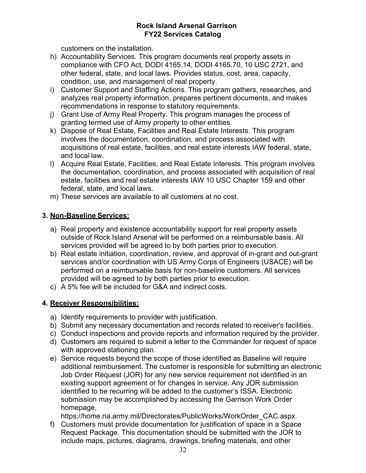customers on the installation.

- h) Accountability Services. This program documents real property assets in compliance with CFO Act, DODI 4165.14, DODI 4165.70, 10 USC 2721, and other federal, state, and local laws. Provides status, cost, area, capacity, condition, use, and management of real property.
- i) Customer Support and Staffing Actions. This program gathers, researches, and analyzes real property information, prepares pertinent documents, and makes recommendations in response to statutory requirements.
- j) Grant Use of Army Real Property. This program manages the process of granting termed use of Army property to other entities.
- k) Dispose of Real Estate, Facilities and Real Estate Interests. This program involves the documentation, coordination, and process associated with acquisitions of real estate, facilities, and real estate interests IAW federal, state, and local law.
- l) Acquire Real Estate, Facilities, and Real Estate Interests. This program involves the documentation, coordination, and process associated with acquisition of real estate, facilities and real estate interests IAW 10 USC Chapter 159 and other federal, state, and local laws.
- m) These services are available to all customers at no cost.

### **3. Non-Baseline Services:**

- a) Real property and existence accountability support for real property assets outside of Rock Island Arsenal will be performed on a reimbursable basis. All services provided will be agreed to by both parties prior to execution.
- b) Real estate initiation, coordination, review, and approval of in-grant and out-grant services and/or coordination with US Army Corps of Engineers (USACE) will be performed on a reimbursable basis for non-baseline customers. All services provided will be agreed to by both parties prior to execution.
- c) A 5% fee will be included for G&A and indirect costs.

### **4. Receiver Responsibilities:**

- a) Identify requirements to provider with justification.
- b) Submit any necessary documentation and records related to receiver's facilities.
- c) Conduct inspections and provide reports and information required by the provider.
- d) Customers are required to submit a letter to the Commander for request of space with approved stationing plan.
- e) Service requests beyond the scope of those identified as Baseline will require additional reimbursement. The customer is responsible for submitting an electronic Job Order Request (JOR) for any new service requirement not identified in an existing support agreement or for changes in service. Any JOR submission identified to be recurring will be added to the customer's ISSA. Electronic submission may be accomplished by accessing the Garrison Work Order homepage,

https://home.ria.army.mil/Directorates/PublicWorks/WorkOrder\_CAC.aspx.

f) Customers must provide documentation for justification of space in a Space Request Package. This documentation should be submitted with the JOR to include maps, pictures, diagrams, drawings, briefing materials, and other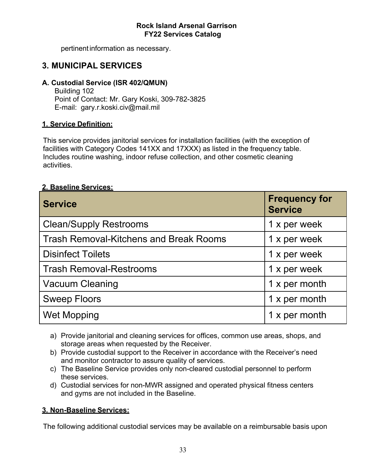pertinentinformation as necessary.

### **3. MUNICIPAL SERVICES**

### **A. Custodial Service (ISR 402/QMUN)**

Building 102 Point of Contact: Mr. Gary Koski, 309-782-3825 E-mail: [gary.r.koski.civ@mail.mil](mailto:gary.r.koski.civ@mail.mil)

### **1. Service Definition:**

This service provides janitorial services for installation facilities (with the exception of facilities with Category Codes 141XX and 17XXX) as listed in the frequency table. Includes routine washing, indoor refuse collection, and other cosmetic cleaning activities.

### **2. Baseline Services:**

| <b>Service</b>                                | <b>Frequency for</b><br><b>Service</b> |
|-----------------------------------------------|----------------------------------------|
| <b>Clean/Supply Restrooms</b>                 | 1 x per week                           |
| <b>Trash Removal-Kitchens and Break Rooms</b> | 1 x per week                           |
| <b>Disinfect Toilets</b>                      | 1 x per week                           |
| <b>Trash Removal-Restrooms</b>                | 1 x per week                           |
| <b>Vacuum Cleaning</b>                        | 1 x per month                          |
| <b>Sweep Floors</b>                           | 1 x per month                          |
| <b>Wet Mopping</b>                            | 1 x per month                          |

- a) Provide janitorial and cleaning services for offices, common use areas, shops, and storage areas when requested by the Receiver.
- b) Provide custodial support to the Receiver in accordance with the Receiver's need and monitor contractor to assure quality of services.
- c) The Baseline Service provides only non-cleared custodial personnel to perform these services.
- d) Custodial services for non-MWR assigned and operated physical fitness centers and gyms are not included in the Baseline.

### **3. Non-Baseline Services:**

The following additional custodial services may be available on a reimbursable basis upon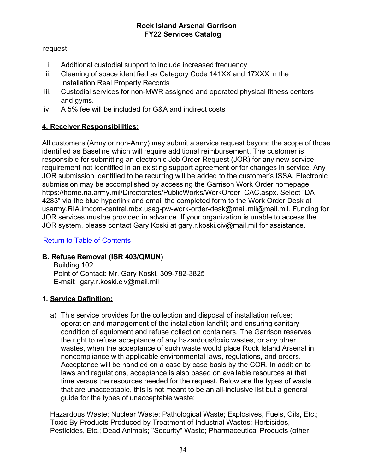### request:

- i. Additional custodial support to include increased frequency
- ii. Cleaning of space identified as Category Code 141XX and 17XXX in the Installation Real Property Records
- iii. Custodial services for non-MWR assigned and operated physical fitness centers and gyms.
- iv. A 5% fee will be included for G&A and indirect costs

### **4. Receiver Responsibilities:**

All customers (Army or non-Army) may submit a service request beyond the scope of those identified as Baseline which will require additional reimbursement. The customer is responsible for submitting an electronic Job Order Request (JOR) for any new service requirement not identified in an existing support agreement or for changes in service. Any JOR submission identified to be recurring will be added to the customer's ISSA. Electronic submission may be accomplished by accessing the Garrison Work Order homepage, https://home.ria.army.mil/Directorates/PublicWorks/WorkOrder\_CAC.aspx. Select "DA 4283" via the blue hyperlink and email the completed form to the Work Order Desk at usarmy.RIA.imcom-central.mbx.usag-pw-work-order-desk@mail.mil@mail.mil. Funding for JOR services mustbe provided in advance. If your organization is unable to access the JOR system, please contact Gary Koski at [gary.r.koski.civ@mail.mil](mailto:gary.r.koski.civ@mail.mil) for assistance.

Return to Table of Contents

### **B. Refuse Removal (ISR 403/QMUN)**

Building 102 Point of Contact: Mr. Gary Koski, 309-782-3825 E-mail: [gary.r.koski.civ@mail.mil](mailto:gary.r.koski.civ@mail.mil)

### **1. Service Definition:**

a) This service provides for the collection and disposal of installation refuse; operation and management of the installation landfill; and ensuring sanitary condition of equipment and refuse collection containers. The Garrison reserves the right to refuse acceptance of any hazardous/toxic wastes, or any other wastes, when the acceptance of such waste would place Rock Island Arsenal in noncompliance with applicable environmental laws, regulations, and orders. Acceptance will be handled on a case by case basis by the COR. In addition to laws and regulations, acceptance is also based on available resources at that time versus the resources needed for the request. Below are the types of waste that are unacceptable, this is not meant to be an all-inclusive list but a general guide for the types of unacceptable waste:

Hazardous Waste; Nuclear Waste; Pathological Waste; Explosives, Fuels, Oils, Etc.; Toxic By-Products Produced by Treatment of Industrial Wastes; Herbicides, Pesticides, Etc.; Dead Animals; "Security" Waste; Pharmaceutical Products (other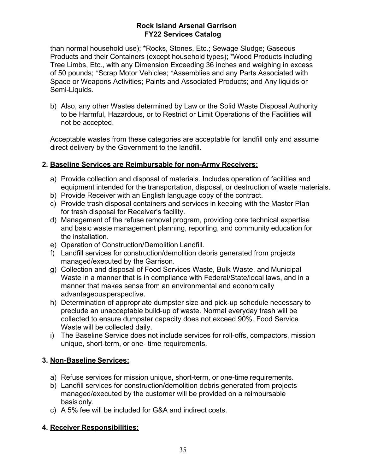than normal household use); \*Rocks, Stones, Etc.; Sewage Sludge; Gaseous Products and their Containers (except household types); \*Wood Products including Tree Limbs, Etc., with any Dimension Exceeding 36 inches and weighing in excess of 50 pounds; \*Scrap Motor Vehicles; \*Assemblies and any Parts Associated with Space or Weapons Activities; Paints and Associated Products; and Any liquids or Semi-Liquids.

b) Also, any other Wastes determined by Law or the Solid Waste Disposal Authority to be Harmful, Hazardous, or to Restrict or Limit Operations of the Facilities will not be accepted.

Acceptable wastes from these categories are acceptable for landfill only and assume direct delivery by the Government to the landfill.

### **2. Baseline Services are Reimbursable for non-Army Receivers:**

- a) Provide collection and disposal of materials. Includes operation of facilities and equipment intended for the transportation, disposal, or destruction of waste materials.
- b) Provide Receiver with an English language copy of the contract.
- c) Provide trash disposal containers and services in keeping with the Master Plan for trash disposal for Receiver's facility.
- d) Management of the refuse removal program, providing core technical expertise and basic waste management planning, reporting, and community education for the installation.
- e) Operation of Construction/Demolition Landfill.
- f) Landfill services for construction/demolition debris generated from projects managed/executed by the Garrison.
- g) Collection and disposal of Food Services Waste, Bulk Waste, and Municipal Waste in a manner that is in compliance with Federal/State/local laws, and in a manner that makes sense from an environmental and economically advantageous perspective.
- h) Determination of appropriate dumpster size and pick-up schedule necessary to preclude an unacceptable build-up of waste. Normal everyday trash will be collected to ensure dumpster capacity does not exceed 90%. Food Service Waste will be collected daily.
- i) The Baseline Service does not include services for roll-offs, compactors, mission unique, short-term, or one- time requirements.

### **3. Non-Baseline Services:**

- a) Refuse services for mission unique, short-term, or one-time requirements.
- b) Landfill services for construction/demolition debris generated from projects managed/executed by the customer will be provided on a reimbursable basisonly.
- c) A 5% fee will be included for G&A and indirect costs.

### **4. Receiver Responsibilities:**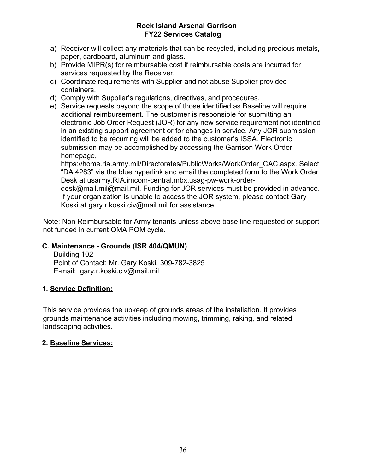- a) Receiver will collect any materials that can be recycled, including precious metals, paper, cardboard, aluminum and glass.
- b) Provide MIPR(s) for reimbursable cost if reimbursable costs are incurred for services requested by the Receiver.
- c) Coordinate requirements with Supplier and not abuse Supplier provided containers.
- d) Comply with Supplier's regulations, directives, and procedures.
- e) Service requests beyond the scope of those identified as Baseline will require additional reimbursement. The customer is responsible for submitting an electronic Job Order Request (JOR) for any new service requirement not identified in an existing support agreement or for changes in service. Any JOR submission identified to be recurring will be added to the customer's ISSA. Electronic submission may be accomplished by accessing the Garrison Work Order homepage,

https://home.ria.army.mil/Directorates/PublicWorks/WorkOrder\_CAC.aspx. Select "DA 4283" via the blue hyperlink and email the completed form to the Work Order Desk at usarmy.RIA.imcom-central.mbx.usag-pw-work-order-

desk@mail.mil@mail.mil. Funding for JOR services must be provided in advance. If your organization is unable to access the JOR system, please contact Gary Koski at [gary.r.koski.civ@mail.mil](mailto:gary.r.koski.civ@mail.mil) for assistance.

Note: Non Reimbursable for Army tenants unless above base line requested or support not funded in current OMA POM cycle.

### **C. Maintenance - Grounds (ISR 404/QMUN)**

Building 102 Point of Contact: Mr. Gary Koski, 309-782-3825 E-mail: [gary.r.koski.civ@mail.mil](mailto:gary.r.koski.civ@mail.mil)

### **1. Service Definition:**

This service provides the upkeep of grounds areas of the installation. It provides grounds maintenance activities including mowing, trimming, raking, and related landscaping activities.

### **2. Baseline Services:**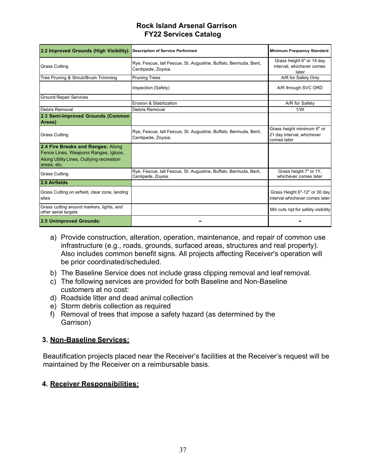| 2.2 Improved Grounds (High Visibility)                                                                                               | <b>Description of Service Performed</b>                                                | <b>Minimum Frequency Standard</b>                                       |
|--------------------------------------------------------------------------------------------------------------------------------------|----------------------------------------------------------------------------------------|-------------------------------------------------------------------------|
| <b>Grass Cutting</b>                                                                                                                 | Rye, Fescue, tall Fescue, St. Augustine, Buffalo, Bermuda, Bent,<br>Centipede, Zoysia. | Grass height 6" or 14 day<br>interval, whichever comes<br>later         |
| Tree Pruning & Shrub/Brush Trimming                                                                                                  | <b>Pruning Trees</b>                                                                   | A/R for Safety Only                                                     |
|                                                                                                                                      | Inspection (Safety)                                                                    | A/R through SVC ORD                                                     |
| <b>Ground Repair Services</b>                                                                                                        |                                                                                        |                                                                         |
|                                                                                                                                      | Erosion & Stabilization                                                                | A/R for Safety                                                          |
| Debris Removal                                                                                                                       | Debris Removal                                                                         | 1/W                                                                     |
| 2.3 Semi-Improved Grounds (Common<br>Areas)                                                                                          |                                                                                        |                                                                         |
| <b>Grass Cutting</b>                                                                                                                 | Rye, Fescue, tall Fescue, St. Augustine, Buffalo, Bermuda, Bent,<br>Centipede, Zoysia. | Grass height minimum 6" or<br>21 day interval, whichever<br>comes later |
| 2.4 Fire Breaks and Ranges: Along<br>Fence Lines, Weapons Ranges, Igloos,<br>Along Utility Lines, Outlying recreation<br>areas, etc. |                                                                                        |                                                                         |
| <b>Grass Cutting</b>                                                                                                                 | Rye, Fescue, tall Fescue, St. Augustine, Buffalo, Bermuda, Bent,<br>Centipede, Zoysia. | Grass height 7" or 1Y,<br>whichever comes later                         |
| 2.6 Airfields                                                                                                                        |                                                                                        |                                                                         |
| Grass Cutting on airfield, clear zone, landing<br>sites                                                                              |                                                                                        | Grass Height 6"-12" or 30 day<br>interval whichever comes later         |
| Grass cutting around markers, lights, and<br>other aerial targets                                                                    |                                                                                        | Min cuts rqd for safety visibility                                      |
| 2.5 Unimproved Grounds:                                                                                                              |                                                                                        |                                                                         |

- a) Provide construction, alteration, operation, maintenance, and repair of common use infrastructure (e.g., roads, grounds, surfaced areas, structures and real property). Also includes common benefit signs. All projects affecting Receiver's operation will be prior coordinated/scheduled.
- b) The Baseline Service does not include grass clipping removal and leaf removal.
- c) The following services are provided for both Baseline and Non-Baseline customers at no cost:
- d) Roadside litter and dead animal collection
- e) Storm debris collection as required
- f) Removal of trees that impose a safety hazard (as determined by the Garrison)

### **3. Non-Baseline Services:**

Beautification projects placed near the Receiver's facilities at the Receiver's request will be maintained by the Receiver on a reimbursable basis.

### **4. Receiver Responsibilities:**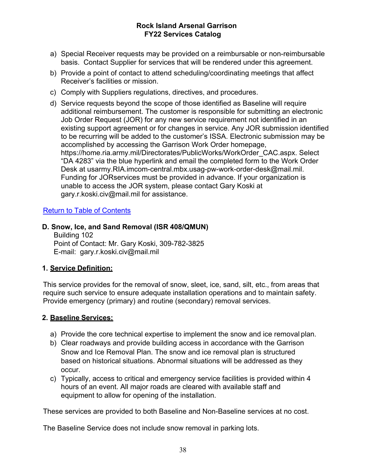- a) Special Receiver requests may be provided on a reimbursable or non-reimbursable basis. Contact Supplier for services that will be rendered under this agreement.
- b) Provide a point of contact to attend scheduling/coordinating meetings that affect Receiver's facilities or mission.
- c) Comply with Suppliers regulations, directives, and procedures.
- d) Service requests beyond the scope of those identified as Baseline will require additional reimbursement. The customer is responsible for submitting an electronic Job Order Request (JOR) for any new service requirement not identified in an existing support agreement or for changes in service. Any JOR submission identified to be recurring will be added to the customer's ISSA. Electronic submission may be accomplished by accessing the Garrison Work Order homepage, https://home.ria.army.mil/Directorates/PublicWorks/WorkOrder\_CAC.aspx. Select "DA 4283" via the blue hyperlink and email the completed form to the Work Order Desk at usarmy.RIA.imcom-central.mbx.usag-pw-work-order-desk@mail.mil. Funding for JORservices must be provided in advance. If your organization is unable to access the JOR system, please contact Gary Koski at [gary.r.koski.civ@mail.mil](mailto:gary.r.koski.civ@mail.mil) for assistance.

### Return to Table of Contents

### **D. Snow, Ice, and Sand Removal (ISR 408/QMUN)**

Building 102 Point of Contact: Mr. Gary Koski, 309-782-3825 E-mail: [gary.r.koski.civ@mail.mil](mailto:gary.r.koski.civ@mail.mil)

### **1. Service Definition:**

This service provides for the removal of snow, sleet, ice, sand, silt, etc., from areas that require such service to ensure adequate installation operations and to maintain safety. Provide emergency (primary) and routine (secondary) removal services.

### **2. Baseline Services:**

- a) Provide the core technical expertise to implement the snow and ice removal plan.
- b) Clear roadways and provide building access in accordance with the Garrison Snow and Ice Removal Plan. The snow and ice removal plan is structured based on historical situations. Abnormal situations will be addressed as they occur.
- c) Typically, access to critical and emergency service facilities is provided within 4 hours of an event. All major roads are cleared with available staff and equipment to allow for opening of the installation.

These services are provided to both Baseline and Non-Baseline services at no cost.

The Baseline Service does not include snow removal in parking lots.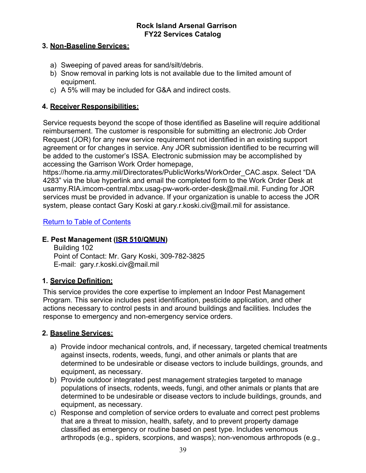### **3. Non-Baseline Services:**

- a) Sweeping of paved areas for sand/silt/debris.
- b) Snow removal in parking lots is not available due to the limited amount of equipment.
- c) A 5% will may be included for G&A and indirect costs.

### **4. Receiver Responsibilities:**

Service requests beyond the scope of those identified as Baseline will require additional reimbursement. The customer is responsible for submitting an electronic Job Order Request (JOR) for any new service requirement not identified in an existing support agreement or for changes in service. Any JOR submission identified to be recurring will be added to the customer's ISSA. Electronic submission may be accomplished by accessing the Garrison Work Order homepage,

https://home.ria.army.mil/Directorates/PublicWorks/WorkOrder\_CAC.aspx. Select "DA 4283" via the blue hyperlink and email the completed form to the Work Order Desk at usarmy.RIA.imcom-central.mbx.usag-pw-work-order-desk@mail.mil. Funding for JOR services must be provided in advance. If your organization is unable to access the JOR system, please contact Gary Koski at [gary.r.koski.civ@mail.mil](mailto:gary.r.koski.civ@mail.mil) for assistance.

### Return to Table of Contents

### **E. Pest Management (ISR 510/QMUN)**

Building 102 Point of Contact: Mr. Gary Koski, 309-782-3825 E-mail: [gary.r.koski.civ@mail.mil](mailto:gary.r.koski.civ@mail.mil)

### **1. Service Definition:**

This service provides the core expertise to implement an Indoor Pest Management Program. This service includes pest identification, pesticide application, and other actions necessary to control pests in and around buildings and facilities. Includes the response to emergency and non-emergency service orders.

### **2. Baseline Services:**

- a) Provide indoor mechanical controls, and, if necessary, targeted chemical treatments against insects, rodents, weeds, fungi, and other animals or plants that are determined to be undesirable or disease vectors to include buildings, grounds, and equipment, as necessary.
- b) Provide outdoor integrated pest management strategies targeted to manage populations of insects, rodents, weeds, fungi, and other animals or plants that are determined to be undesirable or disease vectors to include buildings, grounds, and equipment, as necessary.
- c) Response and completion of service orders to evaluate and correct pest problems that are a threat to mission, health, safety, and to prevent property damage classified as emergency or routine based on pest type. Includes venomous arthropods (e.g., spiders, scorpions, and wasps); non-venomous arthropods (e.g.,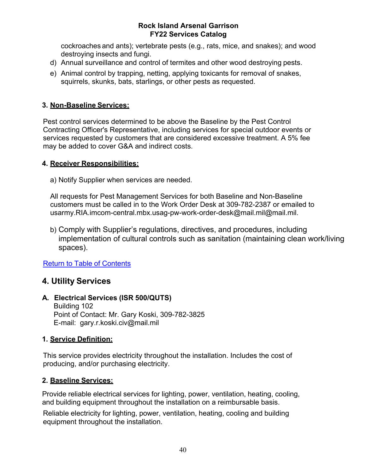cockroaches and ants); vertebrate pests (e.g., rats, mice, and snakes); and wood destroying insects and fungi.

- d) Annual surveillance and control of termites and other wood destroying pests.
- e) Animal control by trapping, netting, applying toxicants for removal of snakes, squirrels, skunks, bats, starlings, or other pests as requested.

### **3. Non-Baseline Services:**

Pest control services determined to be above the Baseline by the Pest Control Contracting Officer's Representative, including services for special outdoor events or services requested by customers that are considered excessive treatment. A 5% fee may be added to cover G&A and indirect costs.

### **4. Receiver Responsibilities:**

a) Notify Supplier when services are needed.

All requests for Pest Management Services for both Baseline and Non-Baseline customers must be called in to the Work Order Desk at 309-782-2387 or emailed to usarmy.RIA.imcom-central.mbx.usag-pw-work-order-desk@mail.mil@mail.mil.

b) Comply with Supplier's regulations, directives, and procedures, including implementation of cultural controls such as sanitation (maintaining clean work/living spaces).

Return to Table of Contents

### **4. Utility Services**

### **A. Electrical Services (ISR 500/QUTS)**

Building 102 Point of Contact: Mr. Gary Koski, 309-782-3825 E-mail: [gary.r.koski.civ@mail.mil](mailto:gary.r.koski.civ@mail.mil)

### **1. Service Definition:**

This service provides electricity throughout the installation. Includes the cost of producing, and/or purchasing electricity.

### **2. Baseline Services:**

Provide reliable electrical services for lighting, power, ventilation, heating, cooling, and building equipment throughout the installation on a reimbursable basis.

Reliable electricity for lighting, power, ventilation, heating, cooling and building equipment throughout the installation.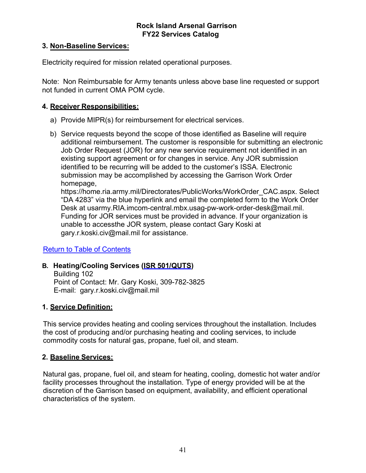### **3. Non-Baseline Services:**

Electricity required for mission related operational purposes.

Note: Non Reimbursable for Army tenants unless above base line requested or support not funded in current OMA POM cycle.

### **4. Receiver Responsibilities:**

- a) Provide MIPR(s) for reimbursement for electrical services.
- b) Service requests beyond the scope of those identified as Baseline will require additional reimbursement. The customer is responsible for submitting an electronic Job Order Request (JOR) for any new service requirement not identified in an existing support agreement or for changes in service. Any JOR submission identified to be recurring will be added to the customer's ISSA. Electronic submission may be accomplished by accessing the Garrison Work Order homepage,

https://home.ria.army.mil/Directorates/PublicWorks/WorkOrder\_CAC.aspx. Select "DA 4283" via the blue hyperlink and email the completed form to the Work Order Desk at usarmy.RIA.imcom-central.mbx.usag-pw-work-order-desk@mail.mil. Funding for JOR services must be provided in advance. If your organization is unable to accessthe JOR system, please contact Gary Koski at [gary.r.koski.civ@mail.mil f](mailto:gary.r.koski.civ@mail.mil)or assistance.

### Return to Table of Contents

### **B. Heating/Cooling Services (ISR 501/QUTS)**

Building 102 Point of Contact: Mr. Gary Koski, 309-782-3825 E-mail: [gary.r.koski.civ@mail.mil](mailto:gary.r.koski.civ@mail.mil)

### **1. Service Definition:**

This service provides heating and cooling services throughout the installation. Includes the cost of producing and/or purchasing heating and cooling services, to include commodity costs for natural gas, propane, fuel oil, and steam.

### **2. Baseline Services:**

Natural gas, propane, fuel oil, and steam for heating, cooling, domestic hot water and/or facility processes throughout the installation. Type of energy provided will be at the discretion of the Garrison based on equipment, availability, and efficient operational characteristics of the system.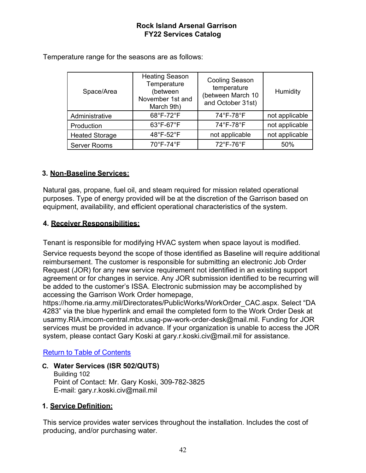| Space/Area            | <b>Heating Season</b><br>Temperature<br>(between<br>November 1st and<br>March 9th) | <b>Cooling Season</b><br>temperature<br>(between March 10<br>and October 31st) | Humidity       |
|-----------------------|------------------------------------------------------------------------------------|--------------------------------------------------------------------------------|----------------|
| Administrative        | 68°F-72°F                                                                          | 74°F-78°F                                                                      | not applicable |
| Production            | 63°F-67°F                                                                          | 74°F-78°F                                                                      | not applicable |
| <b>Heated Storage</b> | 48°F-52°F                                                                          | not applicable                                                                 | not applicable |
| <b>Server Rooms</b>   | 70°F-74°F                                                                          | 72°F-76°F                                                                      | 50%            |

Temperature range for the seasons are as follows:

### **3. Non-Baseline Services:**

Natural gas, propane, fuel oil, and steam required for mission related operational purposes. Type of energy provided will be at the discretion of the Garrison based on equipment, availability, and efficient operational characteristics of the system.

### **4. Receiver Responsibilities:**

Tenant is responsible for modifying HVAC system when space layout is modified.

Service requests beyond the scope of those identified as Baseline will require additional reimbursement. The customer is responsible for submitting an electronic Job Order Request (JOR) for any new service requirement not identified in an existing support agreement or for changes in service. Any JOR submission identified to be recurring will be added to the customer's ISSA. Electronic submission may be accomplished by accessing the Garrison Work Order homepage,

https://home.ria.army.mil/Directorates/PublicWorks/WorkOrder\_CAC.aspx. Select "DA 4283" via the blue hyperlink and email the completed form to the Work Order Desk at usarmy.RIA.imcom-central.mbx.usag-pw-work-order-desk@mail.mil. Funding for JOR services must be provided in advance. If your organization is unable to access the JOR system, please contact Gary Koski at [gary.r.koski.civ@mail.mil](mailto:gary.r.koski.civ@mail.mil) for assistance.

### Return to Table of Contents

**C. Water Services (ISR 502/QUTS)**

Building 102 Point of Contact: Mr. Gary Koski, 309-782-3825 E-mail: [gary.r.koski.civ@mail.mil](mailto:gary.r.koski.civ@mail.mil)

### **1. Service Definition:**

This service provides water services throughout the installation. Includes the cost of producing, and/or purchasing water.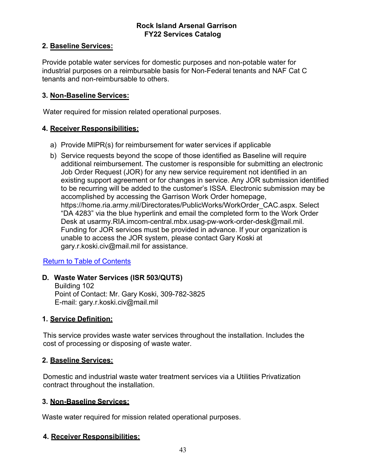### **2. Baseline Services:**

Provide potable water services for domestic purposes and non-potable water for industrial purposes on a reimbursable basis for Non-Federal tenants and NAF Cat C tenants and non-reimbursable to others.

### **3. Non-Baseline Services:**

Water required for mission related operational purposes.

### **4. Receiver Responsibilities:**

- a) Provide MIPR(s) for reimbursement for water services if applicable
- b) Service requests beyond the scope of those identified as Baseline will require additional reimbursement. The customer is responsible for submitting an electronic Job Order Request (JOR) for any new service requirement not identified in an existing support agreement or for changes in service. Any JOR submission identified to be recurring will be added to the customer's ISSA. Electronic submission may be accomplished by accessing the Garrison Work Order homepage, https://home.ria.army.mil/Directorates/PublicWorks/WorkOrder\_CAC.aspx. Select "DA 4283" via the blue hyperlink and email the completed form to the Work Order Desk at usarmy.RIA.imcom-central.mbx.usag-pw-work-order-desk@mail.mil. Funding for JOR services must be provided in advance. If your organization is unable to access the JOR system, please contact Gary Koski at [gary.r.koski.civ@mail.mil](mailto:gary.r.koski.civ@mail.mil) for assistance.

### Return to Table of Contents

### **D. Waste Water Services (ISR 503/QUTS)**

Building 102 Point of Contact: Mr. Gary Koski, 309-782-3825 E-mail: [gary.r.koski.civ@mail.mil](mailto:gary.r.koski.civ@mail.mil)

### **1. Service Definition:**

This service provides waste water services throughout the installation. Includes the cost of processing or disposing of waste water.

### **2. Baseline Services:**

Domestic and industrial waste water treatment services via a Utilities Privatization contract throughout the installation.

### **3. Non-Baseline Services:**

Waste water required for mission related operational purposes.

### **4. Receiver Responsibilities:**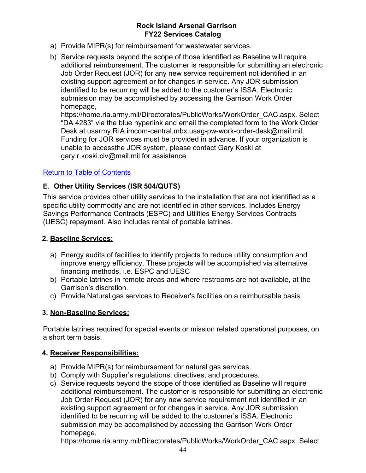- a) Provide MIPR(s) for reimbursement for wastewater services.
- b) Service requests beyond the scope of those identified as Baseline will require additional reimbursement. The customer is responsible for submitting an electronic Job Order Request (JOR) for any new service requirement not identified in an existing support agreement or for changes in service. Any JOR submission identified to be recurring will be added to the customer's ISSA. Electronic submission may be accomplished by accessing the Garrison Work Order homepage,

https://home.ria.army.mil/Directorates/PublicWorks/WorkOrder\_CAC.aspx. Select "DA 4283" via the blue hyperlink and email the completed form to the Work Order Desk at usarmy.RIA.imcom-central.mbx.usag-pw-work-order-desk@mail.mil. Funding for JOR services must be provided in advance. If your organization is unable to accessthe JOR system, please contact Gary Koski at [gary.r.koski.civ@mail.mil f](mailto:gary.r.koski.civ@mail.mil)or assistance.

### Return to Table of Contents

### **E. Other Utility Services (ISR 504/QUTS)**

This service provides other utility services to the installation that are not identified as a specific utility commodity and are not identified in other services. Includes Energy Savings Performance Contracts (ESPC) and Utilities Energy Services Contracts (UESC) repayment. Also includes rental of portable latrines.

### **2. Baseline Services:**

- a) Energy audits of facilities to identify projects to reduce utility consumption and improve energy efficiency. These projects will be accomplished via alternative financing methods, i.e. ESPC and UESC
- b) Portable latrines in remote areas and where restrooms are not available, at the Garrison's discretion.
- c) Provide Natural gas services to Receiver's facilities on a reimbursable basis.

### **3. Non-Baseline Services:**

Portable latrines required for special events or mission related operational purposes, on a short term basis.

### **4. Receiver Responsibilities:**

- a) Provide MIPR(s) for reimbursement for natural gas services.
- b) Comply with Supplier's regulations, directives, and procedures.
- c) Service requests beyond the scope of those identified as Baseline will require additional reimbursement. The customer is responsible for submitting an electronic Job Order Request (JOR) for any new service requirement not identified in an existing support agreement or for changes in service. Any JOR submission identified to be recurring will be added to the customer's ISSA. Electronic submission may be accomplished by accessing the Garrison Work Order homepage,

https://home.ria.army.mil/Directorates/PublicWorks/WorkOrder\_CAC.aspx. Select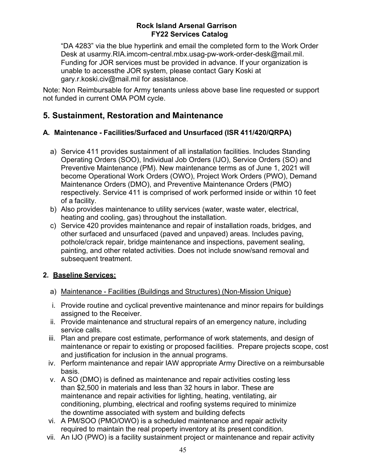"DA 4283" via the blue hyperlink and email the completed form to the Work Order Desk at usarmy.RIA.imcom-central.mbx.usag-pw-work-order-desk@mail.mil. Funding for JOR services must be provided in advance. If your organization is unable to accessthe JOR system, please contact Gary Koski at [gary.r.koski.civ@mail.mil](mailto:gary.r.koski.civ@mail.mil) for assistance.

Note: Non Reimbursable for Army tenants unless above base line requested or support not funded in current OMA POM cycle.

### **5. Sustainment, Restoration and Maintenance**

### **A. Maintenance - Facilities/Surfaced and Unsurfaced (ISR 411/420/QRPA)**

- a) Service 411 provides sustainment of all installation facilities. Includes Standing Operating Orders (SOO), Individual Job Orders (IJO), Service Orders (SO) and Preventive Maintenance (PM). New maintenance terms as of June 1, 2021 will become Operational Work Orders (OWO), Project Work Orders (PWO), Demand Maintenance Orders (DMO), and Preventive Maintenance Orders (PMO) respectively. Service 411 is comprised of work performed inside or within 10 feet of a facility.
- b) Also provides maintenance to utility services (water, waste water, electrical, heating and cooling, gas) throughout the installation.
- c) Service 420 provides maintenance and repair of installation roads, bridges, and other surfaced and unsurfaced (paved and unpaved) areas. Includes paving, pothole/crack repair, bridge maintenance and inspections, pavement sealing, painting, and other related activities. Does not include snow/sand removal and subsequent treatment.

### **2. Baseline Services:**

- a) Maintenance Facilities (Buildings and Structures) (Non-Mission Unique)
- i. Provide routine and cyclical preventive maintenance and minor repairs for buildings assigned to the Receiver.
- ii. Provide maintenance and structural repairs of an emergency nature, including service calls.
- iii. Plan and prepare cost estimate, performance of work statements, and design of maintenance or repair to existing or proposed facilities. Prepare projects scope, cost and justification for inclusion in the annual programs.
- iv. Perform maintenance and repair IAW appropriate Army Directive on a reimbursable basis.
- v. A SO (DMO) is defined as maintenance and repair activities costing less than \$2,500 in materials and less than 32 hours in labor. These are maintenance and repair activities for lighting, heating, ventilating, air conditioning, plumbing, electrical and roofing systems required to minimize the downtime associated with system and building defects
- vi. A PM/SOO (PMO/OWO) is a scheduled maintenance and repair activity required to maintain the real property inventory at its present condition.
- vii. An IJO (PWO) is a facility sustainment project or maintenance and repair activity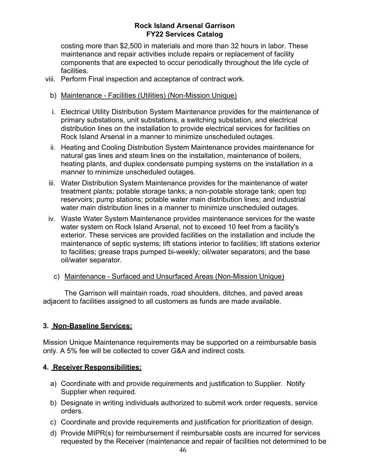costing more than \$2,500 in materials and more than 32 hours in labor. These maintenance and repair activities include repairs or replacement of facility components that are expected to occur periodically throughout the life cycle of facilities.

- viii. Perform Final inspection and acceptance of contract work.
	- b) Maintenance Facilities (Utilities) (Non-Mission Unique)
	- i. Electrical Utility Distribution System Maintenance provides for the maintenance of primary substations, unit substations, a switching substation, and electrical distribution lines on the installation to provide electrical services for facilities on Rock Island Arsenal in a manner to minimize unscheduled outages.
	- ii. Heating and Cooling Distribution System Maintenance provides maintenance for natural gas lines and steam lines on the installation, maintenance of boilers, heating plants, and duplex condensate pumping systems on the installation in a manner to minimize unscheduled outages.
- iii. Water Distribution System Maintenance provides for the maintenance of water treatment plants; potable storage tanks; a non-potable storage tank; open top reservoirs; pump stations; potable water main distribution lines; and industrial water main distribution lines in a manner to minimize unscheduled outages.
- iv. Waste Water System Maintenance provides maintenance services for the waste water system on Rock Island Arsenal, not to exceed 10 feet from a facility's exterior. These services are provided facilities on the installation and include the maintenance of septic systems; lift stations interior to facilities; lift stations exterior to facilities; grease traps pumped bi-weekly; oil/water separators; and the base oil/water separator.
	- c) Maintenance Surfaced and Unsurfaced Areas (Non-Mission Unique)

The Garrison will maintain roads, road shoulders, ditches, and paved areas adjacent to facilities assigned to all customers as funds are made available.

### **3. Non-Baseline Services:**

Mission Unique Maintenance requirements may be supported on a reimbursable basis only. A 5% fee will be collected to cover G&A and indirect costs.

### **4. Receiver Responsibilities:**

- a) Coordinate with and provide requirements and justification to Supplier. Notify Supplier when required.
- b) Designate in writing individuals authorized to submit work order requests, service orders.
- c) Coordinate and provide requirements and justification for prioritization of design.
- d) Provide MIPR(s) for reimbursement if reimbursable costs are incurred for services requested by the Receiver (maintenance and repair of facilities not determined to be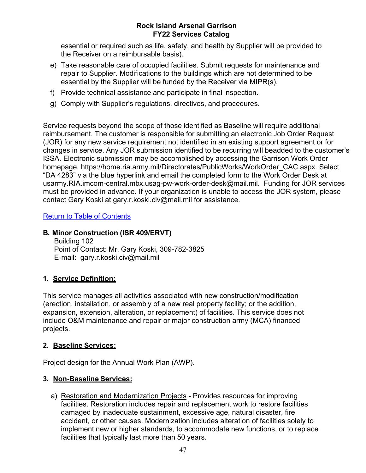essential or required such as life, safety, and health by Supplier will be provided to the Receiver on a reimbursable basis).

- e) Take reasonable care of occupied facilities. Submit requests for maintenance and repair to Supplier. Modifications to the buildings which are not determined to be essential by the Supplier will be funded by the Receiver via MIPR(s).
- f) Provide technical assistance and participate in final inspection.
- g) Comply with Supplier's regulations, directives, and procedures.

Service requests beyond the scope of those identified as Baseline will require additional reimbursement. The customer is responsible for submitting an electronic Job Order Request (JOR) for any new service requirement not identified in an existing support agreement or for changes in service. Any JOR submission identified to be recurring will beadded to the customer's ISSA. Electronic submission may be accomplished by accessing the Garrison Work Order homepage, https://home.ria.army.mil/Directorates/PublicWorks/WorkOrder\_CAC.aspx. Select "DA 4283" via the blue hyperlink and email the completed form to the Work Order Desk at usarmy.RIA.imcom-central.mbx.usag-pw-work-order-desk@mail.mil. Funding for JOR services must be provided in advance. If your organization is unable to access the JOR system, please contact Gary Koski at [gary.r.koski.civ@mail.mil](mailto:gary.r.koski.civ@mail.mil) for assistance.

### Return to Table of Contents

### **B. Minor Construction (ISR 409/ERVT)**

Building 102 Point of Contact: Mr. Gary Koski, 309-782-3825 E-mail: [gary.r.koski.civ@mail.mil](mailto:gary.r.koski.civ@mail.mil)

### **1. Service Definition:**

This service manages all activities associated with new construction/modification (erection, installation, or assembly of a new real property facility; or the addition, expansion, extension, alteration, or replacement) of facilities. This service does not include O&M maintenance and repair or major construction army (MCA) financed projects.

### **2. Baseline Services:**

Project design for the Annual Work Plan (AWP).

### **3. Non-Baseline Services:**

a) Restoration and Modernization Projects - Provides resources for improving facilities. Restoration includes repair and replacement work to restore facilities damaged by inadequate sustainment, excessive age, natural disaster, fire accident, or other causes. Modernization includes alteration of facilities solely to implement new or higher standards, to accommodate new functions, or to replace facilities that typically last more than 50 years.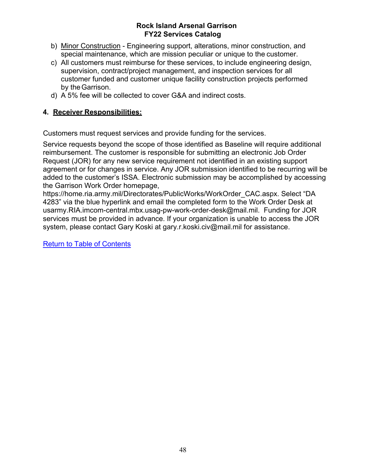- b) Minor Construction Engineering support, alterations, minor construction, and special maintenance, which are mission peculiar or unique to the customer.
- c) All customers must reimburse for these services, to include engineering design, supervision, contract/project management, and inspection services for all customer funded and customer unique facility construction projects performed by the Garrison.
- d) A 5% fee will be collected to cover G&A and indirect costs.

### **4. Receiver Responsibilities:**

Customers must request services and provide funding for the services.

Service requests beyond the scope of those identified as Baseline will require additional reimbursement. The customer is responsible for submitting an electronic Job Order Request (JOR) for any new service requirement not identified in an existing support agreement or for changes in service. Any JOR submission identified to be recurring will be added to the customer's ISSA. Electronic submission may be accomplished by accessing the Garrison Work Order homepage,

https://home.ria.army.mil/Directorates/PublicWorks/WorkOrder\_CAC.aspx. Select "DA 4283" via the blue hyperlink and email the completed form to the Work Order Desk at usarmy.RIA.imcom-central.mbx.usag-pw-work-order-desk@mail.mil. Funding for JOR services must be provided in advance. If your organization is unable to access the JOR system, please contact Gary Koski at [gary.r.koski.civ@mail.mil](mailto:gary.r.koski.civ@mail.mil) for assistance.

Return to Table of Contents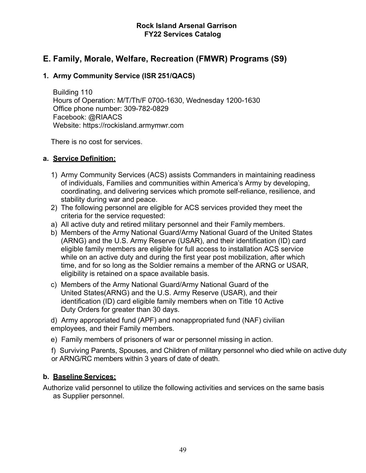### **E. Family, Morale, Welfare, Recreation (FMWR) Programs (S9)**

### **1. Army Community Service (ISR 251/QACS)**

Building 110 Hours of Operation: M/T/Th/F 0700-1630, Wednesday 1200-1630 Office phone number: 309-782-0829 Facebook: @RIAACS Website: https://rockisland.armymwr.com

There is no cost for services.

### **a. Service Definition:**

- 1) Army Community Services (ACS) assists Commanders in maintaining readiness of individuals, Families and communities within America's Army by developing, coordinating, and delivering services which promote self-reliance, resilience, and stability during war and peace.
- 2) The following personnel are eligible for ACS services provided they meet the criteria for the service requested:
- a) All active duty and retired military personnel and their Family members.
- b) Members of the Army National Guard/Army National Guard of the United States (ARNG) and the U.S. Army Reserve (USAR), and their identification (ID) card eligible family members are eligible for full access to installation ACS service while on an active duty and during the first year post mobilization, after which time, and for so long as the Soldier remains a member of the ARNG or USAR, eligibility is retained on a space available basis.
- c) Members of the Army National Guard/Army National Guard of the United States(ARNG) and the U.S. Army Reserve (USAR), and their identification (ID) card eligible family members when on Title 10 Active Duty Orders for greater than 30 days.

d) Army appropriated fund (APF) and nonappropriated fund (NAF) civilian employees, and their Family members.

- e) Family members of prisoners of war or personnel missing in action.
- f) Surviving Parents, Spouses, and Children of military personnel who died while on active duty or ARNG/RC members within 3 years of date of death.

### **b. Baseline Services:**

Authorize valid personnel to utilize the following activities and services on the same basis as Supplier personnel.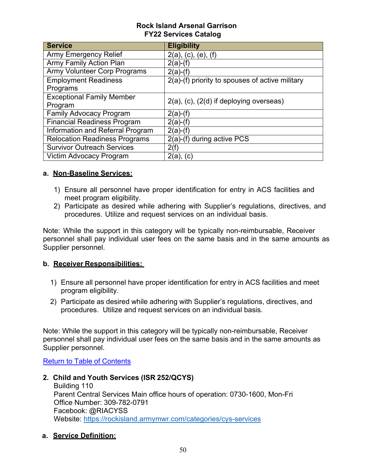| <b>Service</b>                       | <b>Eligibility</b>                              |
|--------------------------------------|-------------------------------------------------|
| <b>Army Emergency Relief</b>         | $2(a)$ , (c), (e), (f)                          |
| <b>Army Family Action Plan</b>       | $2(a)$ -(f)                                     |
| <b>Army Volunteer Corp Programs</b>  | $2(a)-(f)$                                      |
| <b>Employment Readiness</b>          | 2(a)-(f) priority to spouses of active military |
| Programs                             |                                                 |
| <b>Exceptional Family Member</b>     | $2(a)$ , (c), (2(d) if deploying overseas)      |
| Program                              |                                                 |
| <b>Family Advocacy Program</b>       | $2(a)-(f)$                                      |
| <b>Financial Readiness Program</b>   | $2(a)$ -(f)                                     |
| Information and Referral Program     | $2(a)-(f)$                                      |
| <b>Relocation Readiness Programs</b> | 2(a)-(f) during active PCS                      |
| <b>Survivor Outreach Services</b>    | 2(f)                                            |
| Victim Advocacy Program              | $2(a)$ , $(c)$                                  |

### **a. Non-Baseline Services:**

- 1) Ensure all personnel have proper identification for entry in ACS facilities and meet program eligibility.
- 2) Participate as desired while adhering with Supplier's regulations, directives, and procedures. Utilize and request services on an individual basis.

Note: While the support in this category will be typically non-reimbursable, Receiver personnel shall pay individual user fees on the same basis and in the same amounts as Supplier personnel.

### **b. Receiver Responsibilities:**

- 1) Ensure all personnel have proper identification for entry in ACS facilities and meet program eligibility.
- 2) Participate as desired while adhering with Supplier's regulations, directives, and procedures. Utilize and request services on an individual basis.

Note: While the support in this category will be typically non-reimbursable, Receiver personnel shall pay individual user fees on the same basis and in the same amounts as Supplier personnel.

Return to Table of Contents

**2. Child and Youth Services (ISR 252/QCYS)**

Building 110 Parent Central Services Main office hours of operation: 0730-1600, Mon-Fri Office Number: 309-782-0791 Facebook: @RIACYSS Website:<https://rockisland.armymwr.com/categories/cys-services>

**a. Service Definition:**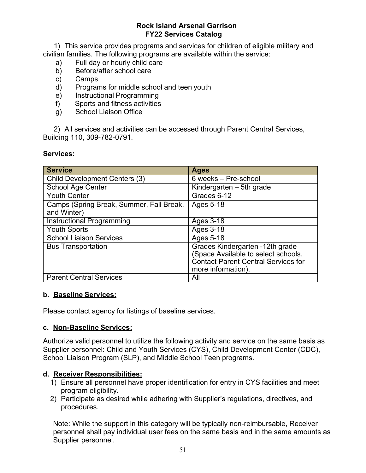1) This service provides programs and services for children of eligible military and civilian families. The following programs are available within the service:

- a) Full day or hourly child care
- b) Before/after school care
- c) Camps
- d) Programs for middle school and teen youth
- e) Instructional Programming
- f) Sports and fitness activities
- g) School Liaison Office

2) All services and activities can be accessed through Parent Central Services, Building 110, 309-782-0791.

### **Services:**

| <b>Service</b>                                          | <b>Ages</b>                                                                                                                                |
|---------------------------------------------------------|--------------------------------------------------------------------------------------------------------------------------------------------|
| <b>Child Development Centers (3)</b>                    | 6 weeks - Pre-school                                                                                                                       |
| <b>School Age Center</b>                                | Kindergarten – 5th grade                                                                                                                   |
| <b>Youth Center</b>                                     | Grades 6-12                                                                                                                                |
| Camps (Spring Break, Summer, Fall Break,<br>and Winter) | Ages 5-18                                                                                                                                  |
| <b>Instructional Programming</b>                        | Ages 3-18                                                                                                                                  |
| <b>Youth Sports</b>                                     | Ages 3-18                                                                                                                                  |
| <b>School Liaison Services</b>                          | Ages 5-18                                                                                                                                  |
| <b>Bus Transportation</b>                               | Grades Kindergarten -12th grade<br>(Space Available to select schools.<br><b>Contact Parent Central Services for</b><br>more information). |
| <b>Parent Central Services</b>                          | All                                                                                                                                        |

### **b. Baseline Services:**

Please contact agency for listings of baseline services.

### **c. Non-Baseline Services:**

Authorize valid personnel to utilize the following activity and service on the same basis as Supplier personnel: Child and Youth Services (CYS), Child Development Center (CDC), School Liaison Program (SLP), and Middle School Teen programs.

### **d. Receiver Responsibilities:**

- 1) Ensure all personnel have proper identification for entry in CYS facilities and meet program eligibility.
- 2) Participate as desired while adhering with Supplier's regulations, directives, and procedures.

Note: While the support in this category will be typically non-reimbursable, Receiver personnel shall pay individual user fees on the same basis and in the same amounts as Supplier personnel.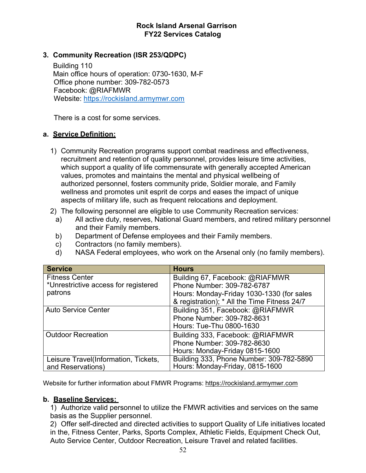### **3. Community Recreation (ISR 253/QDPC)**

Building 110 Main office hours of operation: 0730-1630, M-F Office phone number: 309-782-0573 Facebook: @RIAFMWR Website: [https://rockisland.armymwr.com](https://rockisland.armymwr.com/)

There is a cost for some services.

### **a. Service Definition:**

- 1) Community Recreation programs support combat readiness and effectiveness, recruitment and retention of quality personnel, provides leisure time activities, which support a quality of life commensurate with generally accepted American values, promotes and maintains the mental and physical wellbeing of authorized personnel, fosters community pride, Soldier morale, and Family wellness and promotes unit esprit de corps and eases the impact of unique aspects of military life, such as frequent relocations and deployment.
- 2) The following personnel are eligible to use Community Recreation services:
	- a) All active duty, reserves, National Guard members, and retired military personnel and their Family members.
	- b) Department of Defense employees and their Family members.
	- c) Contractors (no family members).
	- d) NASA Federal employees, who work on the Arsenal only (no family members).

| <b>Service</b>                       | <b>Hours</b>                                 |
|--------------------------------------|----------------------------------------------|
| <b>Fitness Center</b>                | Building 67, Facebook: @RIAFMWR              |
| *Unrestrictive access for registered | Phone Number: 309-782-6787                   |
| patrons                              | Hours: Monday-Friday 1030-1330 (for sales    |
|                                      | & registration); * All the Time Fitness 24/7 |
| <b>Auto Service Center</b>           | Building 351, Facebook: @RIAFMWR             |
|                                      | Phone Number: 309-782-8631                   |
|                                      | Hours: Tue-Thu 0800-1630                     |
| <b>Outdoor Recreation</b>            | Building 333, Facebook: @RIAFMWR             |
|                                      | Phone Number: 309-782-8630                   |
|                                      | Hours: Monday-Friday 0815-1600               |
| Leisure Travel(Information, Tickets, | Building 333, Phone Number: 309-782-5890     |
| and Reservations)                    | Hours: Monday-Friday, 0815-1600              |

Website for further information about FMWR Programs: [https://rockisland.armymwr.com](https://rockisland.armymwr.com/)

### **b. Baseline Services:**

1) Authorize valid personnel to utilize the FMWR activities and services on the same basis as the Supplier personnel.

2) Offer self-directed and directed activities to support Quality of Life initiatives located in the, Fitness Center, Parks, Sports Complex, Athletic Fields, Equipment Check Out, Auto Service Center, Outdoor Recreation, Leisure Travel and related facilities.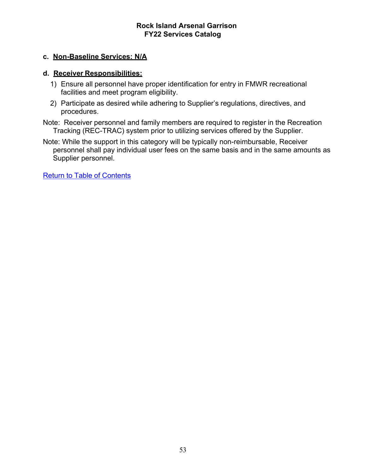### **c. Non-Baseline Services: N/A**

### **d. Receiver Responsibilities:**

- 1) Ensure all personnel have proper identification for entry in FMWR recreational facilities and meet program eligibility.
- 2) Participate as desired while adhering to Supplier's regulations, directives, and procedures.
- Note: Receiver personnel and family members are required to register in the Recreation Tracking (REC-TRAC) system prior to utilizing services offered by the Supplier.
- Note: While the support in this category will be typically non-reimbursable, Receiver personnel shall pay individual user fees on the same basis and in the same amounts as Supplier personnel.

Return to Table of Contents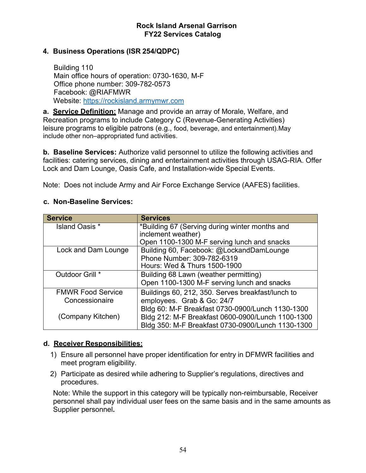### **4. Business Operations (ISR 254/QDPC)**

Building 110 Main office hours of operation: 0730-1630, M-F Office phone number: 309-782-0573 Facebook: @RIAFMWR Website: [https://rockisland.armymwr.com](https://rockisland.armymwr.com/)

**a. Service Definition:** Manage and provide an array of Morale, Welfare, and Recreation programs to include Category C (Revenue-Generating Activities) leisure programs to eligible patrons (e.g., food, beverage, and entertainment).May include other non–appropriated fund activities.

**b. Baseline Services:** Authorize valid personnel to utilize the following activities and facilities: catering services, dining and entertainment activities through USAG-RIA. Offer Lock and Dam Lounge, Oasis Cafe, and Installation-wide Special Events.

Note: Does not include Army and Air Force Exchange Service (AAFES) facilities.

### **c. Non-Baseline Services:**

| <b>Service</b>           | <b>Services</b>                                   |
|--------------------------|---------------------------------------------------|
| <b>Island Oasis</b> *    | *Building 67 (Serving during winter months and    |
|                          | inclement weather)                                |
|                          | Open 1100-1300 M-F serving lunch and snacks       |
| Lock and Dam Lounge      | Building 60, Facebook: @LockandDamLounge          |
|                          | Phone Number: 309-782-6319                        |
|                          | Hours: Wed & Thurs 1500-1900                      |
| Outdoor Grill *          | Building 68 Lawn (weather permitting)             |
|                          | Open 1100-1300 M-F serving lunch and snacks       |
| <b>FMWR Food Service</b> | Buildings 60, 212, 350. Serves breakfast/lunch to |
| Concessionaire           | employees. Grab & Go: 24/7                        |
|                          | Bldg 60: M-F Breakfast 0730-0900/Lunch 1130-1300  |
| (Company Kitchen)        | Bldg 212: M-F Breakfast 0600-0900/Lunch 1100-1300 |
|                          | Bldg 350: M-F Breakfast 0730-0900/Lunch 1130-1300 |

### **d. Receiver Responsibilities:**

- 1) Ensure all personnel have proper identification for entry in DFMWR facilities and meet program eligibility.
- 2) Participate as desired while adhering to Supplier's regulations, directives and procedures.

Note: While the support in this category will be typically non-reimbursable, Receiver personnel shall pay individual user fees on the same basis and in the same amounts as Supplier personnel**.**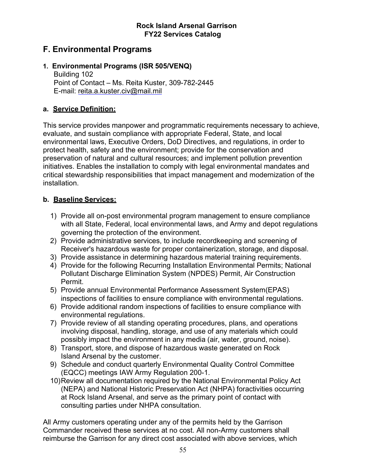### **F. Environmental Programs**

### **1. Environmental Programs (ISR 505/VENQ)**

Building 102 Point of Contact – Ms. Reita Kuster, 309-782-2445 E-mail: [reita.a.kuster.civ@mail.mil](mailto:reita.a.kuster.civ@mail.mil)

### **a. Service Definition:**

This service provides manpower and programmatic requirements necessary to achieve, evaluate, and sustain compliance with appropriate Federal, State, and local environmental laws, Executive Orders, DoD Directives, and regulations, in order to protect health, safety and the environment; provide for the conservation and preservation of natural and cultural resources; and implement pollution prevention initiatives. Enables the installation to comply with legal environmental mandates and critical stewardship responsibilities that impact management and modernization of the installation.

### **b. Baseline Services:**

- 1) Provide all on-post environmental program management to ensure compliance with all State, Federal, local environmental laws, and Army and depot regulations governing the protection of the environment.
- 2) Provide administrative services, to include recordkeeping and screening of Receiver's hazardous waste for proper containerization, storage, and disposal.
- 3) Provide assistance in determining hazardous material training requirements.
- 4) Provide for the following Recurring Installation Environmental Permits; National Pollutant Discharge Elimination System (NPDES) Permit, Air Construction Permit.
- 5) Provide annual Environmental Performance Assessment System(EPAS) inspections of facilities to ensure compliance with environmental regulations.
- 6) Provide additional random inspections of facilities to ensure compliance with environmental regulations.
- 7) Provide review of all standing operating procedures, plans, and operations involving disposal, handling, storage, and use of any materials which could possibly impact the environment in any media (air, water, ground, noise).
- 8) Transport, store, and dispose of hazardous waste generated on Rock Island Arsenal by the customer.
- 9) Schedule and conduct quarterly Environmental Quality Control Committee (EQCC) meetings IAW Army Regulation 200-1.
- 10)Review all documentation required by the National Environmental Policy Act (NEPA) and National Historic Preservation Act (NHPA) foractivities occurring at Rock Island Arsenal, and serve as the primary point of contact with consulting parties under NHPA consultation.

All Army customers operating under any of the permits held by the Garrison Commander received these services at no cost. All non-Army customers shall reimburse the Garrison for any direct cost associated with above services, which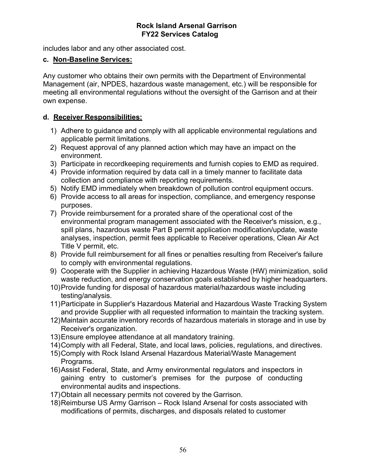includes labor and any other associated cost.

### **c. Non-Baseline Services:**

Any customer who obtains their own permits with the Department of Environmental Management (air, NPDES, hazardous waste management, etc.) will be responsible for meeting all environmental regulations without the oversight of the Garrison and at their own expense.

### **d. Receiver Responsibilities:**

- 1) Adhere to guidance and comply with all applicable environmental regulations and applicable permit limitations.
- 2) Request approval of any planned action which may have an impact on the environment.
- 3) Participate in recordkeeping requirements and furnish copies to EMD as required.
- 4) Provide information required by data call in a timely manner to facilitate data collection and compliance with reporting requirements.
- 5) Notify EMD immediately when breakdown of pollution control equipment occurs.
- 6) Provide access to all areas for inspection, compliance, and emergency response purposes.
- 7) Provide reimbursement for a prorated share of the operational cost of the environmental program management associated with the Receiver's mission, e.g., spill plans, hazardous waste Part B permit application modification/update, waste analyses, inspection, permit fees applicable to Receiver operations, Clean Air Act Title V permit, etc.
- 8) Provide full reimbursement for all fines or penalties resulting from Receiver's failure to comply with environmental regulations.
- 9) Cooperate with the Supplier in achieving Hazardous Waste (HW) minimization, solid waste reduction, and energy conservation goals established by higher headquarters.
- 10)Provide funding for disposal of hazardous material/hazardous waste including testing/analysis.
- 11)Participate in Supplier's Hazardous Material and Hazardous Waste Tracking System and provide Supplier with all requested information to maintain the tracking system.
- 12)Maintain accurate inventory records of hazardous materials in storage and in use by Receiver's organization.
- 13)Ensure employee attendance at all mandatory training.
- 14)Comply with all Federal, State, and local laws, policies, regulations, and directives.
- 15)Comply with Rock Island Arsenal Hazardous Material/Waste Management Programs.
- 16)Assist Federal, State, and Army environmental regulators and inspectors in gaining entry to customer's premises for the purpose of conducting environmental audits and inspections.
- 17)Obtain all necessary permits not covered by the Garrison.
- 18)Reimburse US Army Garrison Rock Island Arsenal for costs associated with modifications of permits, discharges, and disposals related to customer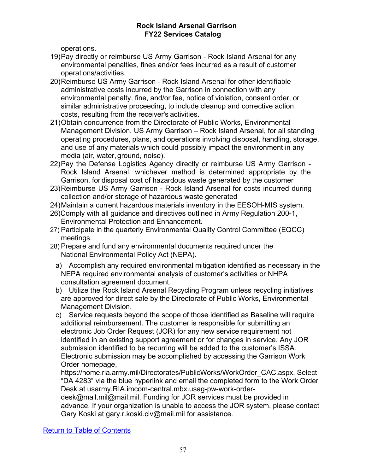operations.

- 19)Pay directly or reimburse US Army Garrison Rock Island Arsenal for any environmental penalties, fines and/or fees incurred as a result of customer operations/activities.
- 20)Reimburse US Army Garrison Rock Island Arsenal for other identifiable administrative costs incurred by the Garrison in connection with any environmental penalty, fine, and/or fee, notice of violation, consent order, or similar administrative proceeding, to include cleanup and corrective action costs, resulting from the receiver's activities.
- 21)Obtain concurrence from the Directorate of Public Works, Environmental Management Division, US Army Garrison – Rock Island Arsenal, for all standing operating procedures, plans, and operations involving disposal, handling, storage, and use of any materials which could possibly impact the environment in any media (air, water, ground, noise).
- 22)Pay the Defense Logistics Agency directly or reimburse US Army Garrison Rock Island Arsenal, whichever method is determined appropriate by the Garrison, for disposal cost of hazardous waste generated by the customer
- 23)Reimburse US Army Garrison Rock Island Arsenal for costs incurred during collection and/or storage of hazardous waste generated
- 24)Maintain a current hazardous materials inventory in the EESOH-MIS system.
- 26)Comply with all guidance and directives outlined in Army Regulation 200-1, Environmental Protection and Enhancement.
- 27) Participate in the quarterly Environmental Quality Control Committee (EQCC) meetings.
- 28) Prepare and fund any environmental documents required under the National Environmental Policy Act (NEPA).
	- a) Accomplish any required environmental mitigation identified as necessary in the NEPA required environmental analysis of customer's activities or NHPA consultation agreement document.
	- b) Utilize the Rock Island Arsenal Recycling Program unless recycling initiatives are approved for direct sale by the Directorate of Public Works, Environmental Management Division.
	- c) Service requests beyond the scope of those identified as Baseline will require additional reimbursement. The customer is responsible for submitting an electronic Job Order Request (JOR) for any new service requirement not identified in an existing support agreement or for changes in service. Any JOR submission identified to be recurring will be added to the customer's ISSA. Electronic submission may be accomplished by accessing the Garrison Work Order homepage,

https://home.ria.army.mil/Directorates/PublicWorks/WorkOrder\_CAC.aspx. Select "DA 4283" via the blue hyperlink and email the completed form to the Work Order Desk at usarmy.RIA.imcom-central.mbx.usag-pw-work-order-

desk@mail.mil@mail.mil. Funding for JOR services must be provided in advance. If your organization is unable to access the JOR system, please contact Gary Koski at [gary.r.koski.civ@mail.mil](mailto:gary.r.koski.civ@mail.mil) for assistance.

Return to Table of Contents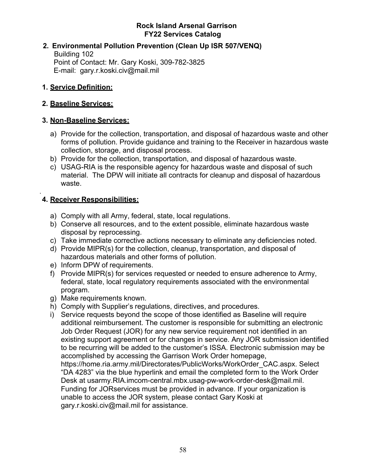### **2. Environmental Pollution Prevention (Clean Up ISR 507/VENQ)**

Building 102 Point of Contact: Mr. Gary Koski, 309-782-3825 E-mail: [gary.r.koski.civ@mail.mil](mailto:gary.r.koski.civ@mail.mil)

### **1. Service Definition:**

### **2. Baseline Services:**

### **3. Non-Baseline Services:**

- a) Provide for the collection, transportation, and disposal of hazardous waste and other forms of pollution. Provide guidance and training to the Receiver in hazardous waste collection, storage, and disposal process.
- b) Provide for the collection, transportation, and disposal of hazardous waste.
- c) USAG-RIA is the responsible agency for hazardous waste and disposal of such material. The DPW will initiate all contracts for cleanup and disposal of hazardous waste.

#### . **4. Receiver Responsibilities:**

- a) Comply with all Army, federal, state, local regulations.
- b) Conserve all resources, and to the extent possible, eliminate hazardous waste disposal by reprocessing.
- c) Take immediate corrective actions necessary to eliminate any deficiencies noted.
- d) Provide MIPR(s) for the collection, cleanup, transportation, and disposal of hazardous materials and other forms of pollution.
- e) Inform DPW of requirements.
- f) Provide MIPR(s) for services requested or needed to ensure adherence to Army, federal, state, local regulatory requirements associated with the environmental program.
- g) Make requirements known.
- h) Comply with Supplier's regulations, directives, and procedures.
- i) Service requests beyond the scope of those identified as Baseline will require additional reimbursement. The customer is responsible for submitting an electronic Job Order Request (JOR) for any new service requirement not identified in an existing support agreement or for changes in service. Any JOR submission identified to be recurring will be added to the customer's ISSA. Electronic submission may be accomplished by accessing the Garrison Work Order homepage, https://home.ria.army.mil/Directorates/PublicWorks/WorkOrder\_CAC.aspx. Select "DA 4283" via the blue hyperlink and email the completed form to the Work Order Desk at usarmy.RIA.imcom-central.mbx.usag-pw-work-order-desk@mail.mil. Funding for JORservices must be provided in advance. If your organization is

unable to access the JOR system, please contact Gary Koski at [gary.r.koski.civ@mail.mil](mailto:gary.r.koski.civ@mail.mil) for assistance.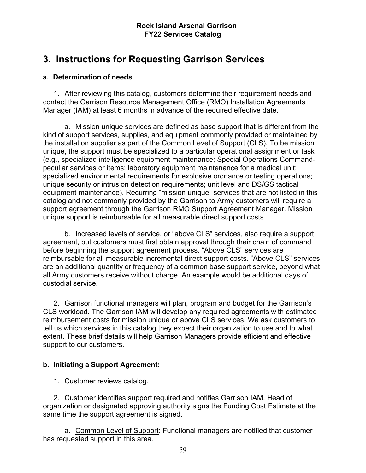# **3. Instructions for Requesting Garrison Services**

### **a. Determination of needs**

1. After reviewing this catalog, customers determine their requirement needs and contact the Garrison Resource Management Office (RMO) Installation Agreements Manager (IAM) at least 6 months in advance of the required effective date.

a. Mission unique services are defined as base support that is different from the kind of support services, supplies, and equipment commonly provided or maintained by the installation supplier as part of the Common Level of Support (CLS). To be mission unique, the support must be specialized to a particular operational assignment or task (e.g., specialized intelligence equipment maintenance; Special Operations Commandpeculiar services or items; laboratory equipment maintenance for a medical unit; specialized environmental requirements for explosive ordnance or testing operations; unique security or intrusion detection requirements; unit level and DS/GS tactical equipment maintenance). Recurring "mission unique" services that are not listed in this catalog and not commonly provided by the Garrison to Army customers will require a support agreement through the Garrison RMO Support Agreement Manager. Mission unique support is reimbursable for all measurable direct support costs.

b. Increased levels of service, or "above CLS" services, also require a support agreement, but customers must first obtain approval through their chain of command before beginning the support agreement process. "Above CLS" services are reimbursable for all measurable incremental direct support costs. "Above CLS" services are an additional quantity or frequency of a common base support service, beyond what all Army customers receive without charge. An example would be additional days of custodial service.

2. Garrison functional managers will plan, program and budget for the Garrison's CLS workload. The Garrison IAM will develop any required agreements with estimated reimbursement costs for mission unique or above CLS services. We ask customers to tell us which services in this catalog they expect their organization to use and to what extent. These brief details will help Garrison Managers provide efficient and effective support to our customers.

### **b. Initiating a Support Agreement:**

1. Customer reviews catalog.

2. Customer identifies support required and notifies Garrison IAM. Head of organization or designated approving authority signs the Funding Cost Estimate at the same time the support agreement is signed.

a. Common Level of Support: Functional managers are notified that customer has requested support in this area.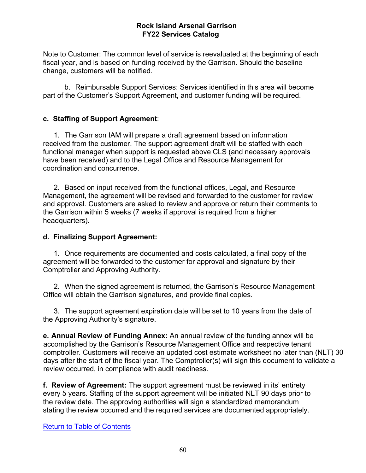Note to Customer: The common level of service is reevaluated at the beginning of each fiscal year, and is based on funding received by the Garrison. Should the baseline change, customers will be notified.

b. Reimbursable Support Services: Services identified in this area will become part of the Customer's Support Agreement, and customer funding will be required.

### **c. Staffing of Support Agreement**:

1. The Garrison IAM will prepare a draft agreement based on information received from the customer. The support agreement draft will be staffed with each functional manager when support is requested above CLS (and necessary approvals have been received) and to the Legal Office and Resource Management for coordination and concurrence.

2. Based on input received from the functional offices, Legal, and Resource Management, the agreement will be revised and forwarded to the customer for review and approval. Customers are asked to review and approve or return their comments to the Garrison within 5 weeks (7 weeks if approval is required from a higher headquarters).

### **d. Finalizing Support Agreement:**

1. Once requirements are documented and costs calculated, a final copy of the agreement will be forwarded to the customer for approval and signature by their Comptroller and Approving Authority.

2. When the signed agreement is returned, the Garrison's Resource Management Office will obtain the Garrison signatures, and provide final copies.

3. The support agreement expiration date will be set to 10 years from the date of the Approving Authority's signature.

**e. Annual Review of Funding Annex:** An annual review of the funding annex will be accomplished by the Garrison's Resource Management Office and respective tenant comptroller. Customers will receive an updated cost estimate worksheet no later than (NLT) 30 days after the start of the fiscal year. The Comptroller(s) will sign this document to validate a review occurred, in compliance with audit readiness.

**f. Review of Agreement:** The support agreement must be reviewed in its' entirety every 5 years. Staffing of the support agreement will be initiated NLT 90 days prior to the review date. The approving authorities will sign a standardized memorandum stating the review occurred and the required services are documented appropriately.

Return to Table of Contents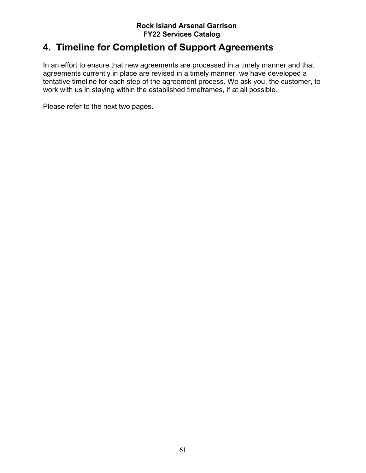# **4. Timeline for Completion of Support Agreements**

In an effort to ensure that new agreements are processed in a timely manner and that agreements currently in place are revised in a timely manner, we have developed a tentative timeline for each step of the agreement process. We ask you, the customer, to work with us in staying within the established timeframes, if at all possible.

Please refer to the next two pages.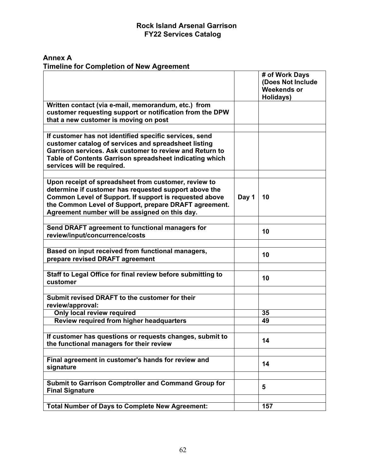**Annex A Timeline for Completion of New Agreement**

|                                                                                                                                                                                                                                                                    |       | # of Work Days<br>(Does Not Include<br><b>Weekends or</b><br>Holidays) |
|--------------------------------------------------------------------------------------------------------------------------------------------------------------------------------------------------------------------------------------------------------------------|-------|------------------------------------------------------------------------|
| Written contact (via e-mail, memorandum, etc.) from<br>customer requesting support or notification from the DPW<br>that a new customer is moving on post                                                                                                           |       |                                                                        |
|                                                                                                                                                                                                                                                                    |       |                                                                        |
| If customer has not identified specific services, send<br>customer catalog of services and spreadsheet listing<br>Garrison services. Ask customer to review and Return to<br>Table of Contents Garrison spreadsheet indicating which<br>services will be required. |       |                                                                        |
| Upon receipt of spreadsheet from customer, review to                                                                                                                                                                                                               |       |                                                                        |
| determine if customer has requested support above the<br>Common Level of Support. If support is requested above<br>the Common Level of Support, prepare DRAFT agreement.<br>Agreement number will be assigned on this day.                                         | Day 1 | 10                                                                     |
|                                                                                                                                                                                                                                                                    |       |                                                                        |
| Send DRAFT agreement to functional managers for<br>review/input/concurrence/costs                                                                                                                                                                                  |       | 10                                                                     |
|                                                                                                                                                                                                                                                                    |       |                                                                        |
| Based on input received from functional managers,<br>prepare revised DRAFT agreement                                                                                                                                                                               |       | 10                                                                     |
|                                                                                                                                                                                                                                                                    |       |                                                                        |
| Staff to Legal Office for final review before submitting to<br>customer                                                                                                                                                                                            |       | 10                                                                     |
|                                                                                                                                                                                                                                                                    |       |                                                                        |
| Submit revised DRAFT to the customer for their<br>review/approval:                                                                                                                                                                                                 |       |                                                                        |
| <b>Only local review required</b>                                                                                                                                                                                                                                  |       | 35                                                                     |
| Review required from higher headquarters                                                                                                                                                                                                                           |       | 49                                                                     |
| If customer has questions or requests changes, submit to<br>the functional managers for their review                                                                                                                                                               |       | 14                                                                     |
|                                                                                                                                                                                                                                                                    |       |                                                                        |
| Final agreement in customer's hands for review and<br>signature                                                                                                                                                                                                    |       | 14                                                                     |
|                                                                                                                                                                                                                                                                    |       |                                                                        |
| <b>Submit to Garrison Comptroller and Command Group for</b><br><b>Final Signature</b>                                                                                                                                                                              |       | 5                                                                      |
|                                                                                                                                                                                                                                                                    |       |                                                                        |
| <b>Total Number of Days to Complete New Agreement:</b>                                                                                                                                                                                                             |       | 157                                                                    |